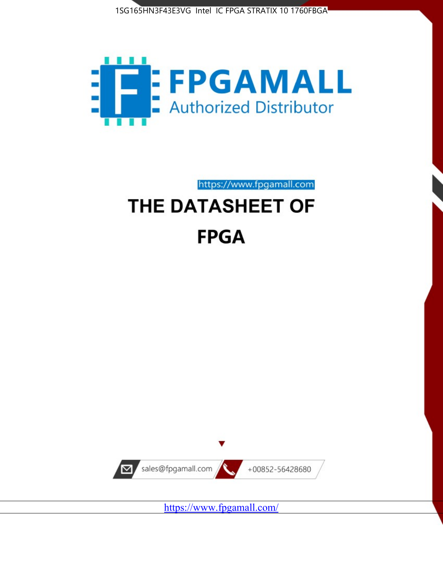



https://www.fpgamall.com

# THE DATASHEET OF **FPGA**



<https://www.fpgamall.com/>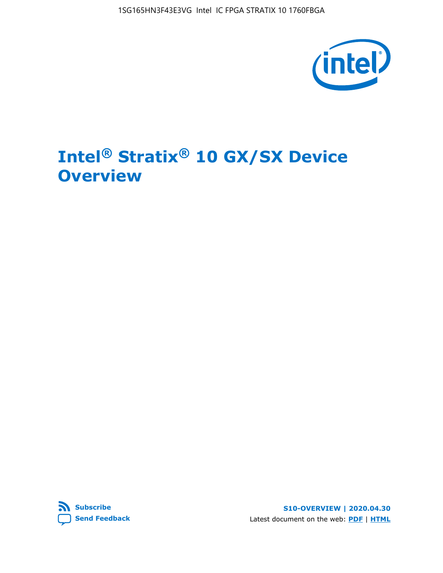

# **Intel® Stratix® 10 GX/SX Device Overview**



**S10-OVERVIEW | 2020.04.30** Latest document on the web: **[PDF](https://www.intel.com/content/dam/www/programmable/us/en/pdfs/literature/hb/stratix-10/s10-overview.pdf)** | **[HTML](https://www.intel.com/content/www/us/en/programmable/documentation/joc1442261161666.html)**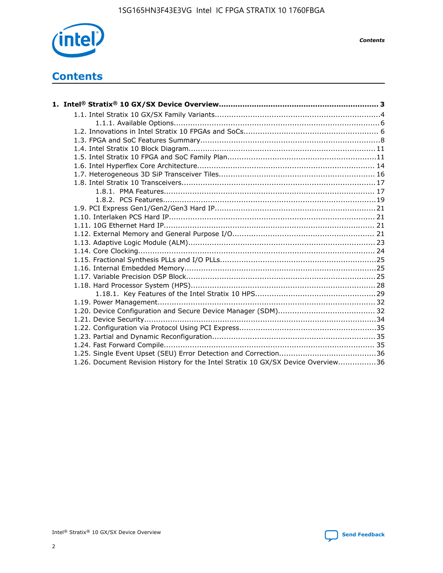

*Contents*

## **Contents**

| 1.26. Document Revision History for the Intel Stratix 10 GX/SX Device Overview36 |  |
|----------------------------------------------------------------------------------|--|

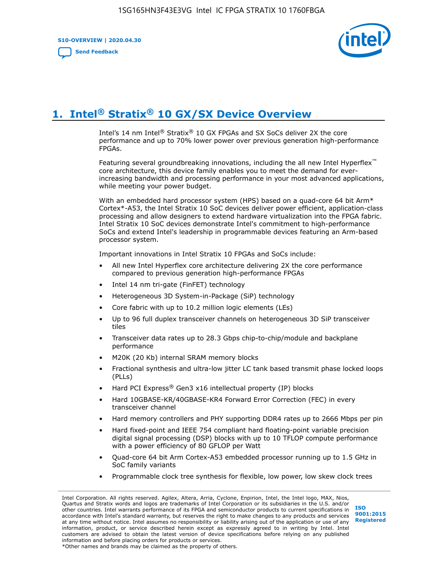**S10-OVERVIEW | 2020.04.30**

**[Send Feedback](mailto:FPGAtechdocfeedback@intel.com?subject=Feedback%20on%20Intel%20Stratix%2010%20GX/SX%20Device%20Overview%20(S10-OVERVIEW%202020.04.30)&body=We%20appreciate%20your%20feedback.%20In%20your%20comments,%20also%20specify%20the%20page%20number%20or%20paragraph.%20Thank%20you.)**



# **1. Intel® Stratix® 10 GX/SX Device Overview**

Intel's 14 nm Intel® Stratix® 10 GX FPGAs and SX SoCs deliver 2X the core performance and up to 70% lower power over previous generation high-performance FPGAs.

Featuring several groundbreaking innovations, including the all new Intel Hyperflex™ core architecture, this device family enables you to meet the demand for everincreasing bandwidth and processing performance in your most advanced applications, while meeting your power budget.

With an embedded hard processor system (HPS) based on a quad-core 64 bit Arm\* Cortex\*-A53, the Intel Stratix 10 SoC devices deliver power efficient, application-class processing and allow designers to extend hardware virtualization into the FPGA fabric. Intel Stratix 10 SoC devices demonstrate Intel's commitment to high-performance SoCs and extend Intel's leadership in programmable devices featuring an Arm-based processor system.

Important innovations in Intel Stratix 10 FPGAs and SoCs include:

- All new Intel Hyperflex core architecture delivering 2X the core performance compared to previous generation high-performance FPGAs
- Intel 14 nm tri-gate (FinFET) technology
- Heterogeneous 3D System-in-Package (SiP) technology
- Core fabric with up to 10.2 million logic elements (LEs)
- Up to 96 full duplex transceiver channels on heterogeneous 3D SiP transceiver tiles
- Transceiver data rates up to 28.3 Gbps chip-to-chip/module and backplane performance
- M20K (20 Kb) internal SRAM memory blocks
- Fractional synthesis and ultra-low jitter LC tank based transmit phase locked loops (PLLs)
- Hard PCI Express<sup>®</sup> Gen3 x16 intellectual property (IP) blocks
- Hard 10GBASE-KR/40GBASE-KR4 Forward Error Correction (FEC) in every transceiver channel
- Hard memory controllers and PHY supporting DDR4 rates up to 2666 Mbps per pin
- Hard fixed-point and IEEE 754 compliant hard floating-point variable precision digital signal processing (DSP) blocks with up to 10 TFLOP compute performance with a power efficiency of 80 GFLOP per Watt
- Quad-core 64 bit Arm Cortex-A53 embedded processor running up to 1.5 GHz in SoC family variants
- Programmable clock tree synthesis for flexible, low power, low skew clock trees

Intel Corporation. All rights reserved. Agilex, Altera, Arria, Cyclone, Enpirion, Intel, the Intel logo, MAX, Nios, Quartus and Stratix words and logos are trademarks of Intel Corporation or its subsidiaries in the U.S. and/or other countries. Intel warrants performance of its FPGA and semiconductor products to current specifications in accordance with Intel's standard warranty, but reserves the right to make changes to any products and services at any time without notice. Intel assumes no responsibility or liability arising out of the application or use of any information, product, or service described herein except as expressly agreed to in writing by Intel. Intel customers are advised to obtain the latest version of device specifications before relying on any published information and before placing orders for products or services. \*Other names and brands may be claimed as the property of others.

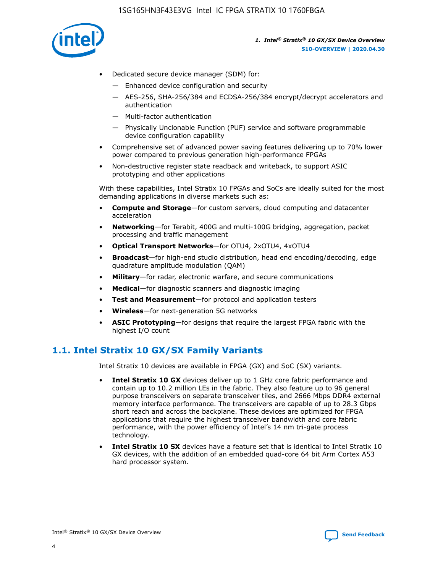

- Dedicated secure device manager (SDM) for:
	- Enhanced device configuration and security
	- AES-256, SHA-256/384 and ECDSA-256/384 encrypt/decrypt accelerators and authentication
	- Multi-factor authentication
	- Physically Unclonable Function (PUF) service and software programmable device configuration capability
- Comprehensive set of advanced power saving features delivering up to 70% lower power compared to previous generation high-performance FPGAs
- Non-destructive register state readback and writeback, to support ASIC prototyping and other applications

With these capabilities, Intel Stratix 10 FPGAs and SoCs are ideally suited for the most demanding applications in diverse markets such as:

- **Compute and Storage**—for custom servers, cloud computing and datacenter acceleration
- **Networking**—for Terabit, 400G and multi-100G bridging, aggregation, packet processing and traffic management
- **Optical Transport Networks**—for OTU4, 2xOTU4, 4xOTU4
- **Broadcast**—for high-end studio distribution, head end encoding/decoding, edge quadrature amplitude modulation (QAM)
- **Military**—for radar, electronic warfare, and secure communications
- **Medical**—for diagnostic scanners and diagnostic imaging
- **Test and Measurement**—for protocol and application testers
- **Wireless**—for next-generation 5G networks
- **ASIC Prototyping**—for designs that require the largest FPGA fabric with the highest I/O count

## **1.1. Intel Stratix 10 GX/SX Family Variants**

Intel Stratix 10 devices are available in FPGA (GX) and SoC (SX) variants.

- **Intel Stratix 10 GX** devices deliver up to 1 GHz core fabric performance and contain up to 10.2 million LEs in the fabric. They also feature up to 96 general purpose transceivers on separate transceiver tiles, and 2666 Mbps DDR4 external memory interface performance. The transceivers are capable of up to 28.3 Gbps short reach and across the backplane. These devices are optimized for FPGA applications that require the highest transceiver bandwidth and core fabric performance, with the power efficiency of Intel's 14 nm tri-gate process technology.
- **Intel Stratix 10 SX** devices have a feature set that is identical to Intel Stratix 10 GX devices, with the addition of an embedded quad-core 64 bit Arm Cortex A53 hard processor system.

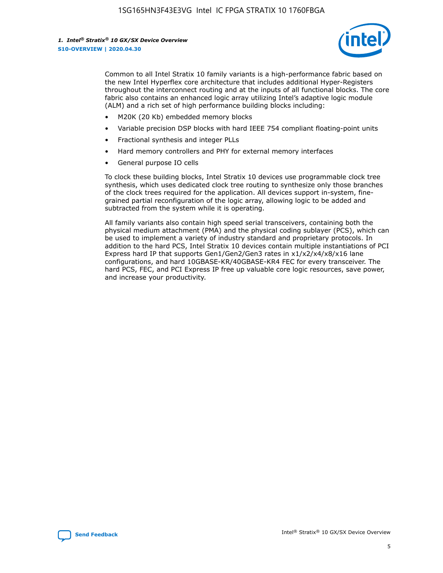

Common to all Intel Stratix 10 family variants is a high-performance fabric based on the new Intel Hyperflex core architecture that includes additional Hyper-Registers throughout the interconnect routing and at the inputs of all functional blocks. The core fabric also contains an enhanced logic array utilizing Intel's adaptive logic module (ALM) and a rich set of high performance building blocks including:

- M20K (20 Kb) embedded memory blocks
- Variable precision DSP blocks with hard IEEE 754 compliant floating-point units
- Fractional synthesis and integer PLLs
- Hard memory controllers and PHY for external memory interfaces
- General purpose IO cells

To clock these building blocks, Intel Stratix 10 devices use programmable clock tree synthesis, which uses dedicated clock tree routing to synthesize only those branches of the clock trees required for the application. All devices support in-system, finegrained partial reconfiguration of the logic array, allowing logic to be added and subtracted from the system while it is operating.

All family variants also contain high speed serial transceivers, containing both the physical medium attachment (PMA) and the physical coding sublayer (PCS), which can be used to implement a variety of industry standard and proprietary protocols. In addition to the hard PCS, Intel Stratix 10 devices contain multiple instantiations of PCI Express hard IP that supports Gen1/Gen2/Gen3 rates in x1/x2/x4/x8/x16 lane configurations, and hard 10GBASE-KR/40GBASE-KR4 FEC for every transceiver. The hard PCS, FEC, and PCI Express IP free up valuable core logic resources, save power, and increase your productivity.

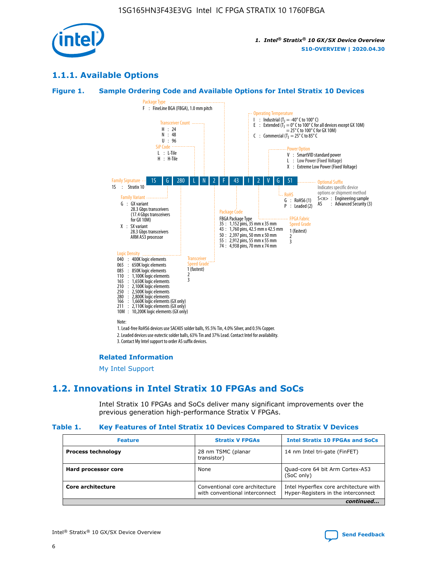

## **1.1.1. Available Options**

### **Figure 1. Sample Ordering Code and Available Options for Intel Stratix 10 Devices**



#### **Related Information**

[My Intel Support](https://www.intel.com/content/www/us/en/programmable/my-intel/mal-home.html)

## **1.2. Innovations in Intel Stratix 10 FPGAs and SoCs**

Intel Stratix 10 FPGAs and SoCs deliver many significant improvements over the previous generation high-performance Stratix V FPGAs.

#### **Table 1. Key Features of Intel Stratix 10 Devices Compared to Stratix V Devices**

| <b>Feature</b>            | <b>Stratix V FPGAs</b>                                           | <b>Intel Stratix 10 FPGAs and SoCs</b>                                        |
|---------------------------|------------------------------------------------------------------|-------------------------------------------------------------------------------|
| <b>Process technology</b> | 28 nm TSMC (planar<br>transistor)                                | 14 nm Intel tri-gate (FinFET)                                                 |
| Hard processor core       | None                                                             | Quad-core 64 bit Arm Cortex-A53<br>(SoC only)                                 |
| Core architecture         | Conventional core architecture<br>with conventional interconnect | Intel Hyperflex core architecture with<br>Hyper-Registers in the interconnect |
|                           |                                                                  | continued                                                                     |

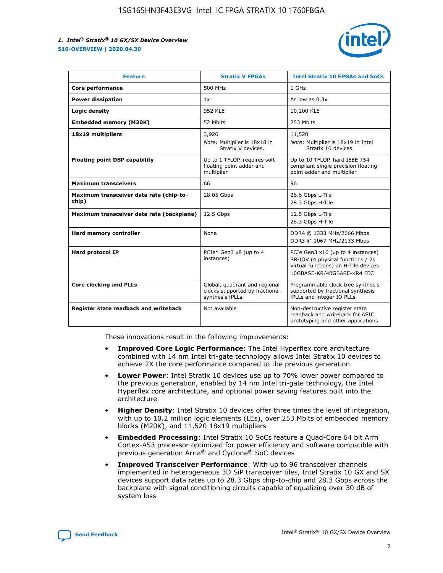

| <b>Feature</b>                                   | <b>Stratix V FPGAs</b>                                                              | <b>Intel Stratix 10 FPGAs and SoCs</b>                                                                                                       |
|--------------------------------------------------|-------------------------------------------------------------------------------------|----------------------------------------------------------------------------------------------------------------------------------------------|
| Core performance                                 | 500 MHz                                                                             | 1 GHz                                                                                                                                        |
| <b>Power dissipation</b>                         | 1x                                                                                  | As low as $0.3x$                                                                                                                             |
| Logic density                                    | 952 KLE                                                                             | 10,200 KLE                                                                                                                                   |
| <b>Embedded memory (M20K)</b>                    | 52 Mbits                                                                            | 253 Mbits                                                                                                                                    |
| 18x19 multipliers                                | 3,926                                                                               | 11,520                                                                                                                                       |
|                                                  | Note: Multiplier is 18x18 in<br>Stratix V devices.                                  | Note: Multiplier is 18x19 in Intel<br>Stratix 10 devices.                                                                                    |
| <b>Floating point DSP capability</b>             | Up to 1 TFLOP, requires soft<br>floating point adder and<br>multiplier              | Up to 10 TFLOP, hard IEEE 754<br>compliant single precision floating<br>point adder and multiplier                                           |
| <b>Maximum transceivers</b>                      | 66                                                                                  | 96                                                                                                                                           |
| Maximum transceiver data rate (chip-to-<br>chip) | 28.05 Gbps                                                                          | 26.6 Gbps L-Tile<br>28.3 Gbps H-Tile                                                                                                         |
| Maximum transceiver data rate (backplane)        | 12.5 Gbps                                                                           | 12.5 Gbps L-Tile<br>28.3 Gbps H-Tile                                                                                                         |
| Hard memory controller                           | None                                                                                | DDR4 @ 1333 MHz/2666 Mbps<br>DDR3 @ 1067 MHz/2133 Mbps                                                                                       |
| <b>Hard protocol IP</b>                          | PCIe* Gen3 x8 (up to 4<br>instances)                                                | PCIe Gen3 x16 (up to 4 instances)<br>SR-IOV (4 physical functions / 2k<br>virtual functions) on H-Tile devices<br>10GBASE-KR/40GBASE-KR4 FEC |
| <b>Core clocking and PLLs</b>                    | Global, quadrant and regional<br>clocks supported by fractional-<br>synthesis fPLLs | Programmable clock tree synthesis<br>supported by fractional synthesis<br>fPLLs and integer IO PLLs                                          |
| Register state readback and writeback            | Not available                                                                       | Non-destructive register state<br>readback and writeback for ASIC<br>prototyping and other applications                                      |

These innovations result in the following improvements:

- **Improved Core Logic Performance**: The Intel Hyperflex core architecture combined with 14 nm Intel tri-gate technology allows Intel Stratix 10 devices to achieve 2X the core performance compared to the previous generation
- **Lower Power**: Intel Stratix 10 devices use up to 70% lower power compared to the previous generation, enabled by 14 nm Intel tri-gate technology, the Intel Hyperflex core architecture, and optional power saving features built into the architecture
- **Higher Density**: Intel Stratix 10 devices offer three times the level of integration, with up to 10.2 million logic elements (LEs), over 253 Mbits of embedded memory blocks (M20K), and 11,520 18x19 multipliers
- **Embedded Processing**: Intel Stratix 10 SoCs feature a Quad-Core 64 bit Arm Cortex-A53 processor optimized for power efficiency and software compatible with previous generation Arria® and Cyclone® SoC devices
- **Improved Transceiver Performance**: With up to 96 transceiver channels implemented in heterogeneous 3D SiP transceiver tiles, Intel Stratix 10 GX and SX devices support data rates up to 28.3 Gbps chip-to-chip and 28.3 Gbps across the backplane with signal conditioning circuits capable of equalizing over 30 dB of system loss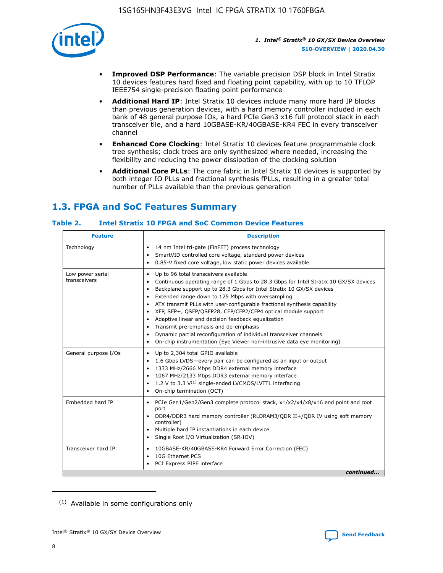

- **Improved DSP Performance**: The variable precision DSP block in Intel Stratix 10 devices features hard fixed and floating point capability, with up to 10 TFLOP IEEE754 single-precision floating point performance
- **Additional Hard IP**: Intel Stratix 10 devices include many more hard IP blocks than previous generation devices, with a hard memory controller included in each bank of 48 general purpose IOs, a hard PCIe Gen3 x16 full protocol stack in each transceiver tile, and a hard 10GBASE-KR/40GBASE-KR4 FEC in every transceiver channel
- **Enhanced Core Clocking**: Intel Stratix 10 devices feature programmable clock tree synthesis; clock trees are only synthesized where needed, increasing the flexibility and reducing the power dissipation of the clocking solution
- **Additional Core PLLs**: The core fabric in Intel Stratix 10 devices is supported by both integer IO PLLs and fractional synthesis fPLLs, resulting in a greater total number of PLLs available than the previous generation

## **1.3. FPGA and SoC Features Summary**

## **Table 2. Intel Stratix 10 FPGA and SoC Common Device Features**

| <b>Feature</b>                   | <b>Description</b>                                                                                                                                                                                                                                                                                                                                                                                                                                                                                                                                                                                                                                                                                                                    |
|----------------------------------|---------------------------------------------------------------------------------------------------------------------------------------------------------------------------------------------------------------------------------------------------------------------------------------------------------------------------------------------------------------------------------------------------------------------------------------------------------------------------------------------------------------------------------------------------------------------------------------------------------------------------------------------------------------------------------------------------------------------------------------|
| Technology                       | 14 nm Intel tri-gate (FinFET) process technology<br>$\bullet$<br>SmartVID controlled core voltage, standard power devices<br>$\bullet$<br>0.85-V fixed core voltage, low static power devices available<br>$\bullet$                                                                                                                                                                                                                                                                                                                                                                                                                                                                                                                  |
| Low power serial<br>transceivers | Up to 96 total transceivers available<br>$\bullet$<br>Continuous operating range of 1 Gbps to 28.3 Gbps for Intel Stratix 10 GX/SX devices<br>$\bullet$<br>Backplane support up to 28.3 Gbps for Intel Stratix 10 GX/SX devices<br>$\bullet$<br>Extended range down to 125 Mbps with oversampling<br>ATX transmit PLLs with user-configurable fractional synthesis capability<br>$\bullet$<br>• XFP, SFP+, QSFP/QSFP28, CFP/CFP2/CFP4 optical module support<br>Adaptive linear and decision feedback equalization<br>$\bullet$<br>Transmit pre-emphasis and de-emphasis<br>Dynamic partial reconfiguration of individual transceiver channels<br>$\bullet$<br>On-chip instrumentation (Eye Viewer non-intrusive data eye monitoring) |
| General purpose I/Os             | Up to 2,304 total GPIO available<br>٠<br>1.6 Gbps LVDS-every pair can be configured as an input or output<br>1333 MHz/2666 Mbps DDR4 external memory interface<br>$\bullet$<br>1067 MHz/2133 Mbps DDR3 external memory interface<br>1.2 V to 3.3 $V^{(1)}$ single-ended LVCMOS/LVTTL interfacing<br>$\bullet$<br>On-chip termination (OCT)<br>$\bullet$                                                                                                                                                                                                                                                                                                                                                                               |
| Embedded hard IP                 | PCIe Gen1/Gen2/Gen3 complete protocol stack, x1/x2/x4/x8/x16 end point and root<br>$\bullet$<br>port<br>DDR4/DDR3 hard memory controller (RLDRAM3/QDR II+/QDR IV using soft memory<br>controller)<br>• Multiple hard IP instantiations in each device<br>• Single Root I/O Virtualization (SR-IOV)                                                                                                                                                                                                                                                                                                                                                                                                                                    |
| Transceiver hard IP              | 10GBASE-KR/40GBASE-KR4 Forward Error Correction (FEC)<br>٠<br>10G Ethernet PCS<br>٠<br>• PCI Express PIPE interface<br>continued                                                                                                                                                                                                                                                                                                                                                                                                                                                                                                                                                                                                      |

<sup>(1)</sup> Available in some configurations only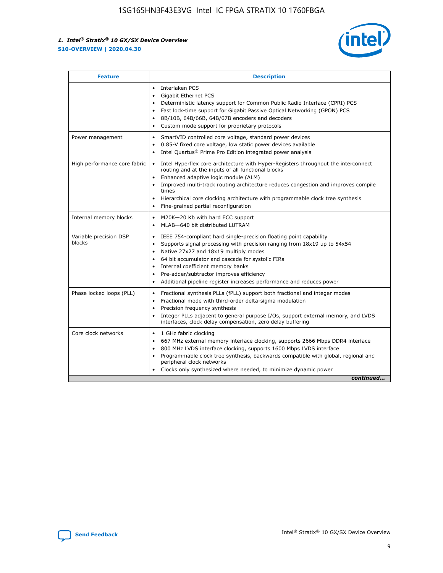

| <b>Feature</b>                   | <b>Description</b>                                                                                                                                                                                                                                                                                                                                                                                                                                            |
|----------------------------------|---------------------------------------------------------------------------------------------------------------------------------------------------------------------------------------------------------------------------------------------------------------------------------------------------------------------------------------------------------------------------------------------------------------------------------------------------------------|
|                                  | Interlaken PCS<br>$\bullet$<br>Gigabit Ethernet PCS<br>$\bullet$<br>Deterministic latency support for Common Public Radio Interface (CPRI) PCS<br>$\bullet$<br>Fast lock-time support for Gigabit Passive Optical Networking (GPON) PCS<br>٠<br>8B/10B, 64B/66B, 64B/67B encoders and decoders<br>Custom mode support for proprietary protocols<br>٠                                                                                                          |
| Power management                 | SmartVID controlled core voltage, standard power devices<br>$\bullet$<br>0.85-V fixed core voltage, low static power devices available<br>$\bullet$<br>Intel Quartus <sup>®</sup> Prime Pro Edition integrated power analysis<br>٠                                                                                                                                                                                                                            |
| High performance core fabric     | Intel Hyperflex core architecture with Hyper-Registers throughout the interconnect<br>routing and at the inputs of all functional blocks<br>Enhanced adaptive logic module (ALM)<br>Improved multi-track routing architecture reduces congestion and improves compile<br>times<br>Hierarchical core clocking architecture with programmable clock tree synthesis<br>$\bullet$<br>Fine-grained partial reconfiguration                                         |
| Internal memory blocks           | M20K-20 Kb with hard ECC support<br>٠<br>MLAB-640 bit distributed LUTRAM<br>$\bullet$                                                                                                                                                                                                                                                                                                                                                                         |
| Variable precision DSP<br>blocks | IEEE 754-compliant hard single-precision floating point capability<br>$\bullet$<br>Supports signal processing with precision ranging from 18x19 up to 54x54<br>$\bullet$<br>Native 27x27 and 18x19 multiply modes<br>٠<br>64 bit accumulator and cascade for systolic FIRs<br>Internal coefficient memory banks<br>Pre-adder/subtractor improves efficiency<br>$\bullet$<br>Additional pipeline register increases performance and reduces power<br>$\bullet$ |
| Phase locked loops (PLL)         | Fractional synthesis PLLs (fPLL) support both fractional and integer modes<br>$\bullet$<br>Fractional mode with third-order delta-sigma modulation<br>Precision frequency synthesis<br>$\bullet$<br>Integer PLLs adjacent to general purpose I/Os, support external memory, and LVDS<br>$\bullet$<br>interfaces, clock delay compensation, zero delay buffering                                                                                               |
| Core clock networks              | 1 GHz fabric clocking<br>٠<br>667 MHz external memory interface clocking, supports 2666 Mbps DDR4 interface<br>$\bullet$<br>800 MHz LVDS interface clocking, supports 1600 Mbps LVDS interface<br>$\bullet$<br>Programmable clock tree synthesis, backwards compatible with global, regional and<br>$\bullet$<br>peripheral clock networks<br>Clocks only synthesized where needed, to minimize dynamic power<br>continued                                    |

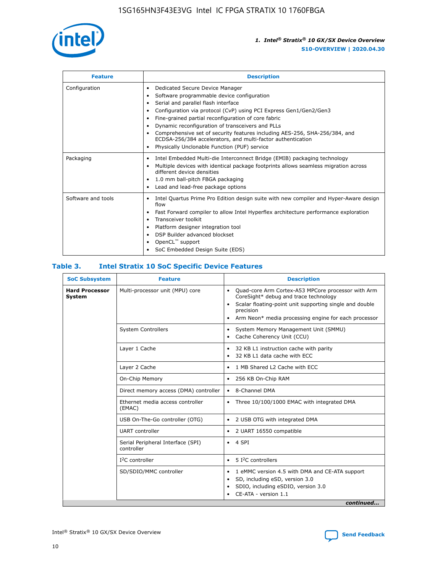

| <b>Feature</b>     | <b>Description</b>                                                                                                                                                                                                                                                                                                                                                                                                                                                                                                    |
|--------------------|-----------------------------------------------------------------------------------------------------------------------------------------------------------------------------------------------------------------------------------------------------------------------------------------------------------------------------------------------------------------------------------------------------------------------------------------------------------------------------------------------------------------------|
| Configuration      | Dedicated Secure Device Manager<br>٠<br>Software programmable device configuration<br>٠<br>Serial and parallel flash interface<br>٠<br>Configuration via protocol (CvP) using PCI Express Gen1/Gen2/Gen3<br>Fine-grained partial reconfiguration of core fabric<br>Dynamic reconfiguration of transceivers and PLLs<br>٠<br>Comprehensive set of security features including AES-256, SHA-256/384, and<br>ECDSA-256/384 accelerators, and multi-factor authentication<br>Physically Unclonable Function (PUF) service |
| Packaging          | Intel Embedded Multi-die Interconnect Bridge (EMIB) packaging technology<br>٠<br>Multiple devices with identical package footprints allows seamless migration across<br>٠<br>different device densities<br>1.0 mm ball-pitch FBGA packaging<br>٠<br>Lead and lead-free package options                                                                                                                                                                                                                                |
| Software and tools | Intel Quartus Prime Pro Edition design suite with new compiler and Hyper-Aware design<br>flow<br>Fast Forward compiler to allow Intel Hyperflex architecture performance exploration<br>٠<br>Transceiver toolkit<br>Platform designer integration tool<br>DSP Builder advanced blockset<br>OpenCL <sup>™</sup> support<br>SoC Embedded Design Suite (EDS)                                                                                                                                                             |

## **Table 3. Intel Stratix 10 SoC Specific Device Features**

| <b>SoC Subsystem</b>            | <b>Feature</b>                                  | <b>Description</b>                                                                                                                                                                                                                                                 |
|---------------------------------|-------------------------------------------------|--------------------------------------------------------------------------------------------------------------------------------------------------------------------------------------------------------------------------------------------------------------------|
| <b>Hard Processor</b><br>System | Multi-processor unit (MPU) core                 | Quad-core Arm Cortex-A53 MPCore processor with Arm<br>$\bullet$<br>CoreSight* debug and trace technology<br>Scalar floating-point unit supporting single and double<br>$\bullet$<br>precision<br>Arm Neon* media processing engine for each processor<br>$\bullet$ |
|                                 | <b>System Controllers</b>                       | System Memory Management Unit (SMMU)<br>$\bullet$<br>Cache Coherency Unit (CCU)<br>$\bullet$                                                                                                                                                                       |
|                                 | Layer 1 Cache                                   | 32 KB L1 instruction cache with parity<br>$\bullet$<br>32 KB L1 data cache with ECC<br>$\bullet$                                                                                                                                                                   |
|                                 | Layer 2 Cache                                   | 1 MB Shared L2 Cache with ECC<br>$\bullet$                                                                                                                                                                                                                         |
|                                 | On-Chip Memory                                  | 256 KB On-Chip RAM<br>٠                                                                                                                                                                                                                                            |
|                                 | Direct memory access (DMA) controller           | 8-Channel DMA<br>$\bullet$                                                                                                                                                                                                                                         |
|                                 | Ethernet media access controller<br>(EMAC)      | Three 10/100/1000 EMAC with integrated DMA<br>$\bullet$                                                                                                                                                                                                            |
|                                 | USB On-The-Go controller (OTG)                  | 2 USB OTG with integrated DMA<br>$\bullet$                                                                                                                                                                                                                         |
|                                 | <b>UART</b> controller                          | 2 UART 16550 compatible<br>$\bullet$                                                                                                                                                                                                                               |
|                                 | Serial Peripheral Interface (SPI)<br>controller | 4 SPI<br>$\bullet$                                                                                                                                                                                                                                                 |
|                                 | $I2C$ controller                                | 5 I <sup>2</sup> C controllers<br>$\bullet$                                                                                                                                                                                                                        |
|                                 | SD/SDIO/MMC controller                          | 1 eMMC version 4.5 with DMA and CE-ATA support<br>$\bullet$<br>SD, including eSD, version 3.0<br>$\bullet$<br>SDIO, including eSDIO, version 3.0<br>$\bullet$<br>CE-ATA - version 1.1                                                                              |
|                                 |                                                 | continued                                                                                                                                                                                                                                                          |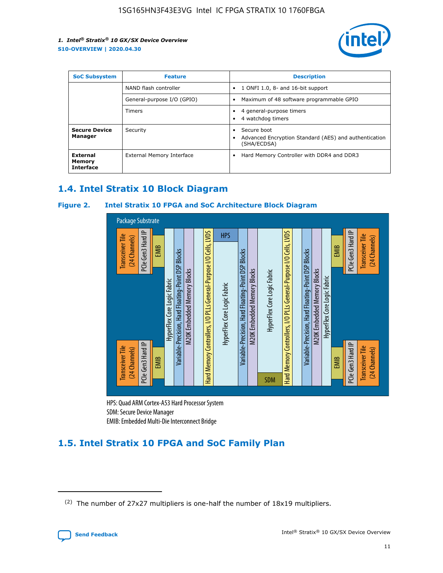

| <b>SoC Subsystem</b>                   | <b>Feature</b>             | <b>Description</b>                                                                               |  |  |
|----------------------------------------|----------------------------|--------------------------------------------------------------------------------------------------|--|--|
|                                        | NAND flash controller      | 1 ONFI 1.0, 8- and 16-bit support<br>$\bullet$                                                   |  |  |
|                                        | General-purpose I/O (GPIO) | Maximum of 48 software programmable GPIO<br>$\bullet$                                            |  |  |
|                                        | <b>Timers</b>              | 4 general-purpose timers<br>4 watchdog timers                                                    |  |  |
| <b>Secure Device</b><br>Manager        | Security                   | Secure boot<br>$\bullet$<br>Advanced Encryption Standard (AES) and authentication<br>(SHA/ECDSA) |  |  |
| External<br>Memory<br><b>Interface</b> | External Memory Interface  | Hard Memory Controller with DDR4 and DDR3<br>$\bullet$                                           |  |  |

## **1.4. Intel Stratix 10 Block Diagram**

## **Figure 2. Intel Stratix 10 FPGA and SoC Architecture Block Diagram**



HPS: Quad ARM Cortex-A53 Hard Processor System SDM: Secure Device Manager

## **1.5. Intel Stratix 10 FPGA and SoC Family Plan**

<sup>(2)</sup> The number of 27x27 multipliers is one-half the number of 18x19 multipliers.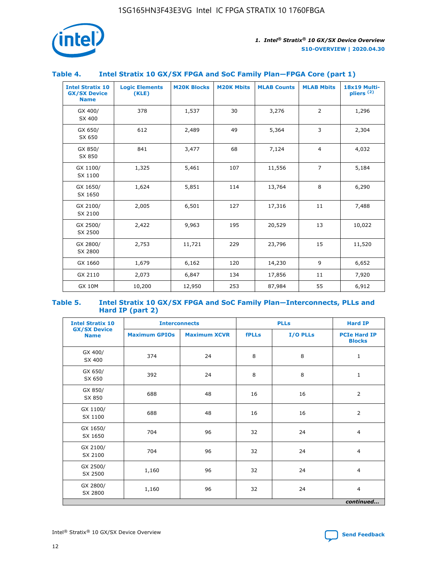

## **Table 4. Intel Stratix 10 GX/SX FPGA and SoC Family Plan—FPGA Core (part 1)**

| <b>Intel Stratix 10</b><br><b>GX/SX Device</b><br><b>Name</b> | <b>Logic Elements</b><br>(KLE) | <b>M20K Blocks</b> | <b>M20K Mbits</b> | <b>MLAB Counts</b> | <b>MLAB Mbits</b> | 18x19 Multi-<br>pliers <sup>(2)</sup> |
|---------------------------------------------------------------|--------------------------------|--------------------|-------------------|--------------------|-------------------|---------------------------------------|
| GX 400/<br>SX 400                                             | 378                            | 1,537              | 30                | 3,276              | $\overline{2}$    | 1,296                                 |
| GX 650/<br>SX 650                                             | 612                            | 2,489              | 49                | 5,364              | 3                 | 2,304                                 |
| GX 850/<br>SX 850                                             | 841                            | 3,477              | 68                | 7,124              | $\overline{4}$    | 4,032                                 |
| GX 1100/<br>SX 1100                                           | 1,325                          | 5,461              | 107               | 11,556             | $\overline{7}$    | 5,184                                 |
| GX 1650/<br>SX 1650                                           | 1,624                          | 5,851              | 114               | 13,764             | 8                 | 6,290                                 |
| GX 2100/<br>SX 2100                                           | 2,005                          | 6,501              | 127               | 17,316             | 11                | 7,488                                 |
| GX 2500/<br>SX 2500                                           | 2,422                          | 9,963              | 195               | 20,529             | 13                | 10,022                                |
| GX 2800/<br>SX 2800                                           | 2,753                          | 11,721             | 229               | 23,796             | 15                | 11,520                                |
| GX 1660                                                       | 1,679                          | 6,162              | 120               | 14,230             | 9                 | 6,652                                 |
| GX 2110                                                       | 2,073                          | 6,847              | 134               | 17,856             | 11                | 7,920                                 |
| <b>GX 10M</b>                                                 | 10,200                         | 12,950             | 253               | 87,984             | 55                | 6,912                                 |

#### **Table 5. Intel Stratix 10 GX/SX FPGA and SoC Family Plan—Interconnects, PLLs and Hard IP (part 2)**

| <b>Intel Stratix 10</b>            |                      | <b>Interconnects</b> |              | <b>PLLs</b> | <b>Hard IP</b>                       |  |
|------------------------------------|----------------------|----------------------|--------------|-------------|--------------------------------------|--|
| <b>GX/SX Device</b><br><b>Name</b> | <b>Maximum GPIOs</b> | <b>Maximum XCVR</b>  | <b>fPLLs</b> | I/O PLLs    | <b>PCIe Hard IP</b><br><b>Blocks</b> |  |
| GX 400/<br>SX 400                  | 374                  | 24                   | 8            | 8           | $\mathbf{1}$                         |  |
| GX 650/<br>SX 650                  | 392                  | 24                   | 8            | 8           | $\mathbf{1}$                         |  |
| GX 850/<br>SX 850                  | 688                  | 48                   | 16           | 16          | 2                                    |  |
| GX 1100/<br>SX 1100                | 688                  | 48                   | 16           | 16          | 2                                    |  |
| GX 1650/<br>SX 1650                | 704                  | 96                   | 32           | 24          | $\overline{4}$                       |  |
| GX 2100/<br>SX 2100                | 704                  | 96                   | 32           | 24          | $\overline{4}$                       |  |
| GX 2500/<br>SX 2500                | 1,160                | 96                   | 32           | 24          | $\overline{4}$                       |  |
| GX 2800/<br>SX 2800                | 1,160                | 96                   | 32           | 24          | $\overline{4}$                       |  |
| continued                          |                      |                      |              |             |                                      |  |

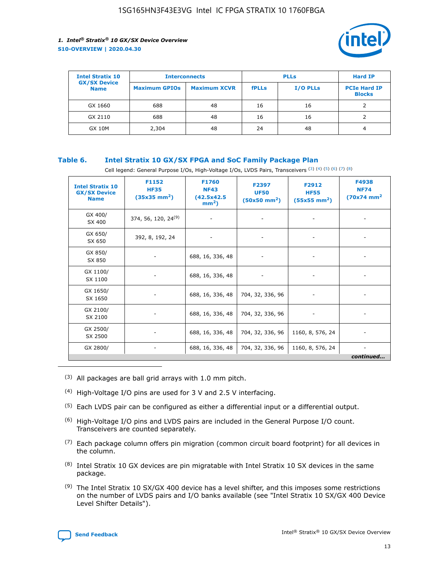

| <b>Intel Stratix 10</b>            | <b>Interconnects</b> |                     | <b>PLLs</b>  |                 | <b>Hard IP</b>                       |
|------------------------------------|----------------------|---------------------|--------------|-----------------|--------------------------------------|
| <b>GX/SX Device</b><br><b>Name</b> | <b>Maximum GPIOs</b> | <b>Maximum XCVR</b> | <b>fPLLs</b> | <b>I/O PLLs</b> | <b>PCIe Hard IP</b><br><b>Blocks</b> |
| GX 1660                            | 688                  | 48                  | 16           | 16              |                                      |
| GX 2110                            | 688                  | 48                  | 16           | 16              |                                      |
| <b>GX 10M</b>                      | 2,304                | 48                  | 24           | 48              | 4                                    |

## **Table 6. Intel Stratix 10 GX/SX FPGA and SoC Family Package Plan**

Cell legend: General Purpose I/Os, High-Voltage I/Os, LVDS Pairs, Transceivers (3) (4) (5) (6) (7) (8)

| <b>Intel Stratix 10</b><br><b>GX/SX Device</b><br><b>Name</b> | F1152<br><b>HF35</b><br>$(35x35 \text{ mm}^2)$ | <b>F1760</b><br><b>NF43</b><br>(42.5x42.5<br>$mm2$ ) | F2397<br><b>UF50</b><br>$(50x50 \text{ mm}^2)$ | F2912<br><b>HF55</b><br>$(55x55 \text{ mm}^2)$ | F4938<br><b>NF74</b><br>$(70x74)$ mm <sup>2</sup> |
|---------------------------------------------------------------|------------------------------------------------|------------------------------------------------------|------------------------------------------------|------------------------------------------------|---------------------------------------------------|
| GX 400/<br>SX 400                                             | 374, 56, 120, 24 <sup>(9)</sup>                | $\overline{\phantom{a}}$                             | $\overline{\phantom{a}}$                       |                                                |                                                   |
| GX 650/<br>SX 650                                             | 392, 8, 192, 24                                | ٠                                                    | $\qquad \qquad \blacksquare$                   |                                                |                                                   |
| GX 850/<br>SX 850                                             | $\overline{\phantom{a}}$                       | 688, 16, 336, 48                                     | $\overline{\phantom{a}}$                       |                                                |                                                   |
| GX 1100/<br>SX 1100                                           | -                                              | 688, 16, 336, 48                                     |                                                |                                                |                                                   |
| GX 1650/<br>SX 1650                                           |                                                | 688, 16, 336, 48                                     | 704, 32, 336, 96                               | $\overline{\phantom{0}}$                       | $\overline{\phantom{0}}$                          |
| GX 2100/<br>SX 2100                                           |                                                | 688, 16, 336, 48                                     | 704, 32, 336, 96                               | $\overline{\phantom{a}}$                       | ٠                                                 |
| GX 2500/<br>SX 2500                                           |                                                | 688, 16, 336, 48                                     | 704, 32, 336, 96                               | 1160, 8, 576, 24                               |                                                   |
| GX 2800/                                                      | -                                              | 688, 16, 336, 48                                     | 704, 32, 336, 96                               | 1160, 8, 576, 24                               | continued                                         |

- (3) All packages are ball grid arrays with 1.0 mm pitch.
- (4) High-Voltage I/O pins are used for 3 V and 2.5 V interfacing.
- $(5)$  Each LVDS pair can be configured as either a differential input or a differential output.
- (6) High-Voltage I/O pins and LVDS pairs are included in the General Purpose I/O count. Transceivers are counted separately.
- $(7)$  Each package column offers pin migration (common circuit board footprint) for all devices in the column.
- $(8)$  Intel Stratix 10 GX devices are pin migratable with Intel Stratix 10 SX devices in the same package.
- $(9)$  The Intel Stratix 10 SX/GX 400 device has a level shifter, and this imposes some restrictions on the number of LVDS pairs and I/O banks available (see "Intel Stratix 10 SX/GX 400 Device Level Shifter Details").

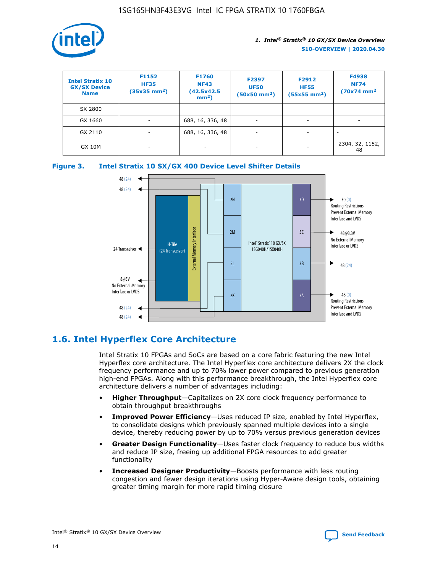

| <b>Intel Stratix 10</b><br><b>GX/SX Device</b><br><b>Name</b> | F1152<br><b>HF35</b><br>$(35x35 \text{ mm}^2)$ | <b>F1760</b><br><b>NF43</b><br>(42.5x42.5<br>$mm2$ ) | F2397<br><b>UF50</b><br>$(50x50 \text{ mm}^2)$ | F2912<br><b>HF55</b><br>$(55x55$ mm <sup>2</sup> ) | F4938<br><b>NF74</b><br>$(70x74)$ mm <sup>2</sup> |
|---------------------------------------------------------------|------------------------------------------------|------------------------------------------------------|------------------------------------------------|----------------------------------------------------|---------------------------------------------------|
| SX 2800                                                       |                                                |                                                      |                                                |                                                    |                                                   |
| GX 1660                                                       | ٠                                              | 688, 16, 336, 48                                     | ۰                                              |                                                    |                                                   |
| GX 2110                                                       |                                                | 688, 16, 336, 48                                     | $\overline{\phantom{a}}$                       |                                                    |                                                   |
| <b>GX 10M</b>                                                 | ۰                                              | -                                                    | -                                              |                                                    | 2304, 32, 1152,<br>48                             |





## **1.6. Intel Hyperflex Core Architecture**

Intel Stratix 10 FPGAs and SoCs are based on a core fabric featuring the new Intel Hyperflex core architecture. The Intel Hyperflex core architecture delivers 2X the clock frequency performance and up to 70% lower power compared to previous generation high-end FPGAs. Along with this performance breakthrough, the Intel Hyperflex core architecture delivers a number of advantages including:

- **Higher Throughput**—Capitalizes on 2X core clock frequency performance to obtain throughput breakthroughs
- **Improved Power Efficiency**—Uses reduced IP size, enabled by Intel Hyperflex, to consolidate designs which previously spanned multiple devices into a single device, thereby reducing power by up to 70% versus previous generation devices
- **Greater Design Functionality**—Uses faster clock frequency to reduce bus widths and reduce IP size, freeing up additional FPGA resources to add greater functionality
- **Increased Designer Productivity**—Boosts performance with less routing congestion and fewer design iterations using Hyper-Aware design tools, obtaining greater timing margin for more rapid timing closure

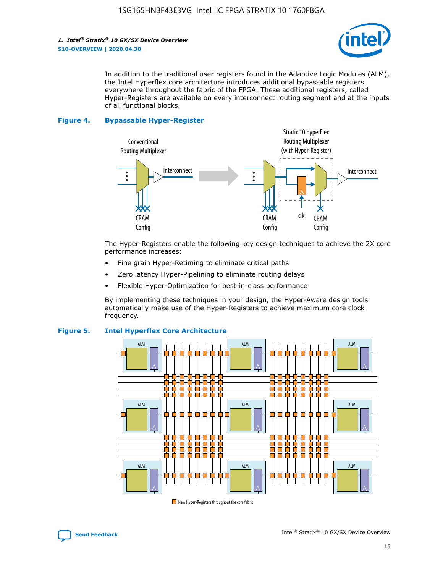

In addition to the traditional user registers found in the Adaptive Logic Modules (ALM), the Intel Hyperflex core architecture introduces additional bypassable registers everywhere throughout the fabric of the FPGA. These additional registers, called Hyper-Registers are available on every interconnect routing segment and at the inputs of all functional blocks.

#### **Figure 4. Bypassable Hyper-Register**



The Hyper-Registers enable the following key design techniques to achieve the 2X core performance increases:

- Fine grain Hyper-Retiming to eliminate critical paths
- Zero latency Hyper-Pipelining to eliminate routing delays
- Flexible Hyper-Optimization for best-in-class performance

By implementing these techniques in your design, the Hyper-Aware design tools automatically make use of the Hyper-Registers to achieve maximum core clock frequency.



## **Figure 5. Intel Hyperflex Core Architecture**

New Hyper-Registers throughout the core fabric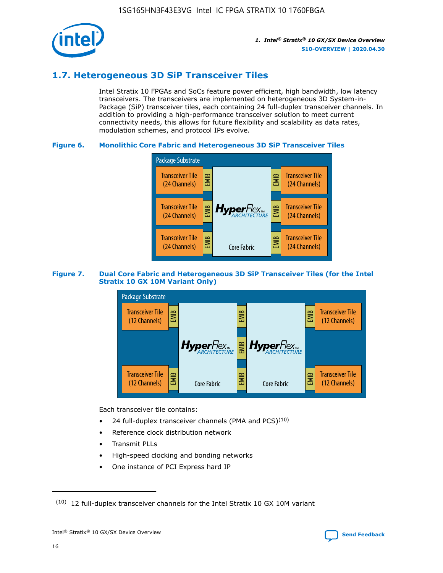

## **1.7. Heterogeneous 3D SiP Transceiver Tiles**

Intel Stratix 10 FPGAs and SoCs feature power efficient, high bandwidth, low latency transceivers. The transceivers are implemented on heterogeneous 3D System-in-Package (SiP) transceiver tiles, each containing 24 full-duplex transceiver channels. In addition to providing a high-performance transceiver solution to meet current connectivity needs, this allows for future flexibility and scalability as data rates, modulation schemes, and protocol IPs evolve.

## **Figure 6. Monolithic Core Fabric and Heterogeneous 3D SiP Transceiver Tiles**



## **Figure 7. Dual Core Fabric and Heterogeneous 3D SiP Transceiver Tiles (for the Intel Stratix 10 GX 10M Variant Only)**



Each transceiver tile contains:

- 24 full-duplex transceiver channels (PMA and PCS) $(10)$
- Reference clock distribution network
- Transmit PLLs
- High-speed clocking and bonding networks
- One instance of PCI Express hard IP



 $(10)$  12 full-duplex transceiver channels for the Intel Stratix 10 GX 10M variant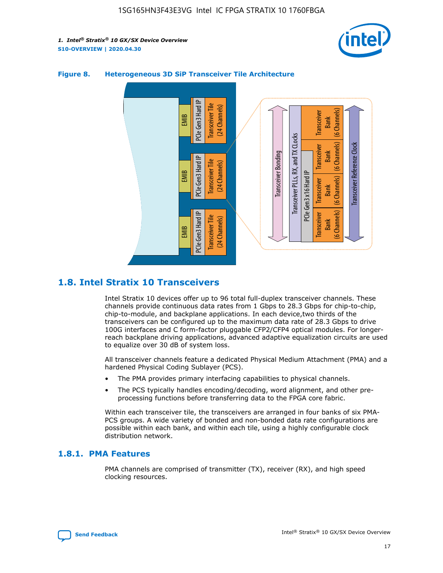



## **Figure 8. Heterogeneous 3D SiP Transceiver Tile Architecture**

## **1.8. Intel Stratix 10 Transceivers**

Intel Stratix 10 devices offer up to 96 total full-duplex transceiver channels. These channels provide continuous data rates from 1 Gbps to 28.3 Gbps for chip-to-chip, chip-to-module, and backplane applications. In each device,two thirds of the transceivers can be configured up to the maximum data rate of 28.3 Gbps to drive 100G interfaces and C form-factor pluggable CFP2/CFP4 optical modules. For longerreach backplane driving applications, advanced adaptive equalization circuits are used to equalize over 30 dB of system loss.

All transceiver channels feature a dedicated Physical Medium Attachment (PMA) and a hardened Physical Coding Sublayer (PCS).

- The PMA provides primary interfacing capabilities to physical channels.
- The PCS typically handles encoding/decoding, word alignment, and other preprocessing functions before transferring data to the FPGA core fabric.

Within each transceiver tile, the transceivers are arranged in four banks of six PMA-PCS groups. A wide variety of bonded and non-bonded data rate configurations are possible within each bank, and within each tile, using a highly configurable clock distribution network.

## **1.8.1. PMA Features**

PMA channels are comprised of transmitter (TX), receiver (RX), and high speed clocking resources.

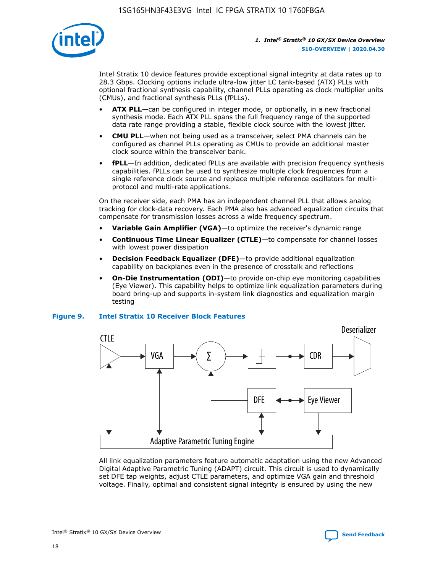

Intel Stratix 10 device features provide exceptional signal integrity at data rates up to 28.3 Gbps. Clocking options include ultra-low jitter LC tank-based (ATX) PLLs with optional fractional synthesis capability, channel PLLs operating as clock multiplier units (CMUs), and fractional synthesis PLLs (fPLLs).

- **ATX PLL**—can be configured in integer mode, or optionally, in a new fractional synthesis mode. Each ATX PLL spans the full frequency range of the supported data rate range providing a stable, flexible clock source with the lowest jitter.
- **CMU PLL**—when not being used as a transceiver, select PMA channels can be configured as channel PLLs operating as CMUs to provide an additional master clock source within the transceiver bank.
- **fPLL**—In addition, dedicated fPLLs are available with precision frequency synthesis capabilities. fPLLs can be used to synthesize multiple clock frequencies from a single reference clock source and replace multiple reference oscillators for multiprotocol and multi-rate applications.

On the receiver side, each PMA has an independent channel PLL that allows analog tracking for clock-data recovery. Each PMA also has advanced equalization circuits that compensate for transmission losses across a wide frequency spectrum.

- **Variable Gain Amplifier (VGA)**—to optimize the receiver's dynamic range
- **Continuous Time Linear Equalizer (CTLE)**—to compensate for channel losses with lowest power dissipation
- **Decision Feedback Equalizer (DFE)**—to provide additional equalization capability on backplanes even in the presence of crosstalk and reflections
- **On-Die Instrumentation (ODI)**—to provide on-chip eye monitoring capabilities (Eye Viewer). This capability helps to optimize link equalization parameters during board bring-up and supports in-system link diagnostics and equalization margin testing

#### **Figure 9. Intel Stratix 10 Receiver Block Features**



All link equalization parameters feature automatic adaptation using the new Advanced Digital Adaptive Parametric Tuning (ADAPT) circuit. This circuit is used to dynamically set DFE tap weights, adjust CTLE parameters, and optimize VGA gain and threshold voltage. Finally, optimal and consistent signal integrity is ensured by using the new



Intel<sup>®</sup> Stratix<sup>®</sup> 10 GX/SX Device Overview **[Send Feedback](mailto:FPGAtechdocfeedback@intel.com?subject=Feedback%20on%20Intel%20Stratix%2010%20GX/SX%20Device%20Overview%20(S10-OVERVIEW%202020.04.30)&body=We%20appreciate%20your%20feedback.%20In%20your%20comments,%20also%20specify%20the%20page%20number%20or%20paragraph.%20Thank%20you.)** Send Feedback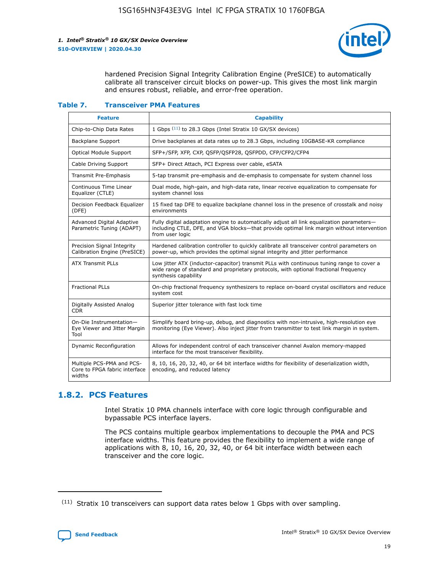

hardened Precision Signal Integrity Calibration Engine (PreSICE) to automatically calibrate all transceiver circuit blocks on power-up. This gives the most link margin and ensures robust, reliable, and error-free operation.

#### **Table 7. Transceiver PMA Features**

| <b>Feature</b>                                                       | <b>Capability</b>                                                                                                                                                                                         |
|----------------------------------------------------------------------|-----------------------------------------------------------------------------------------------------------------------------------------------------------------------------------------------------------|
| Chip-to-Chip Data Rates                                              | 1 Gbps (11) to 28.3 Gbps (Intel Stratix 10 GX/SX devices)                                                                                                                                                 |
| <b>Backplane Support</b>                                             | Drive backplanes at data rates up to 28.3 Gbps, including 10GBASE-KR compliance                                                                                                                           |
| Optical Module Support                                               | SFP+/SFP, XFP, CXP, QSFP/QSFP28, QSFPDD, CFP/CFP2/CFP4                                                                                                                                                    |
| Cable Driving Support                                                | SFP+ Direct Attach, PCI Express over cable, eSATA                                                                                                                                                         |
| <b>Transmit Pre-Emphasis</b>                                         | 5-tap transmit pre-emphasis and de-emphasis to compensate for system channel loss                                                                                                                         |
| Continuous Time Linear<br>Equalizer (CTLE)                           | Dual mode, high-gain, and high-data rate, linear receive equalization to compensate for<br>system channel loss                                                                                            |
| Decision Feedback Equalizer<br>(DFE)                                 | 15 fixed tap DFE to equalize backplane channel loss in the presence of crosstalk and noisy<br>environments                                                                                                |
| Advanced Digital Adaptive<br>Parametric Tuning (ADAPT)               | Fully digital adaptation engine to automatically adjust all link equalization parameters-<br>including CTLE, DFE, and VGA blocks-that provide optimal link margin without intervention<br>from user logic |
| Precision Signal Integrity<br>Calibration Engine (PreSICE)           | Hardened calibration controller to quickly calibrate all transceiver control parameters on<br>power-up, which provides the optimal signal integrity and jitter performance                                |
| <b>ATX Transmit PLLs</b>                                             | Low jitter ATX (inductor-capacitor) transmit PLLs with continuous tuning range to cover a<br>wide range of standard and proprietary protocols, with optional fractional frequency<br>synthesis capability |
| <b>Fractional PLLs</b>                                               | On-chip fractional frequency synthesizers to replace on-board crystal oscillators and reduce<br>system cost                                                                                               |
| Digitally Assisted Analog<br>CDR.                                    | Superior jitter tolerance with fast lock time                                                                                                                                                             |
| On-Die Instrumentation-<br>Eye Viewer and Jitter Margin<br>Tool      | Simplify board bring-up, debug, and diagnostics with non-intrusive, high-resolution eye<br>monitoring (Eye Viewer). Also inject jitter from transmitter to test link margin in system.                    |
| Dynamic Reconfiguration                                              | Allows for independent control of each transceiver channel Avalon memory-mapped<br>interface for the most transceiver flexibility.                                                                        |
| Multiple PCS-PMA and PCS-<br>Core to FPGA fabric interface<br>widths | 8, 10, 16, 20, 32, 40, or 64 bit interface widths for flexibility of deserialization width,<br>encoding, and reduced latency                                                                              |

## **1.8.2. PCS Features**

Intel Stratix 10 PMA channels interface with core logic through configurable and bypassable PCS interface layers.

The PCS contains multiple gearbox implementations to decouple the PMA and PCS interface widths. This feature provides the flexibility to implement a wide range of applications with 8, 10, 16, 20, 32, 40, or 64 bit interface width between each transceiver and the core logic.

 $(11)$  Stratix 10 transceivers can support data rates below 1 Gbps with over sampling.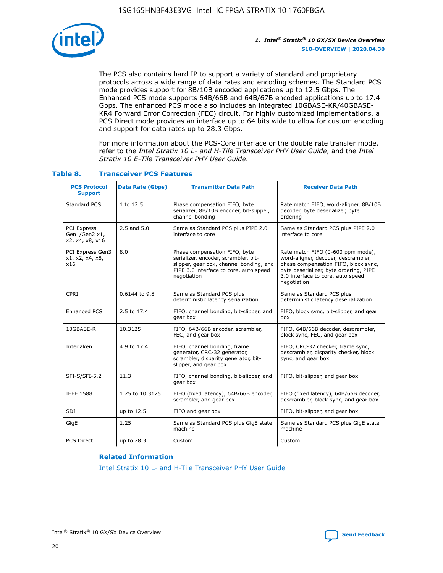

The PCS also contains hard IP to support a variety of standard and proprietary protocols across a wide range of data rates and encoding schemes. The Standard PCS mode provides support for 8B/10B encoded applications up to 12.5 Gbps. The Enhanced PCS mode supports 64B/66B and 64B/67B encoded applications up to 17.4 Gbps. The enhanced PCS mode also includes an integrated 10GBASE-KR/40GBASE-KR4 Forward Error Correction (FEC) circuit. For highly customized implementations, a PCS Direct mode provides an interface up to 64 bits wide to allow for custom encoding and support for data rates up to 28.3 Gbps.

For more information about the PCS-Core interface or the double rate transfer mode, refer to the *Intel Stratix 10 L- and H-Tile Transceiver PHY User Guide*, and the *Intel Stratix 10 E-Tile Transceiver PHY User Guide*.

| <b>PCS Protocol</b><br><b>Support</b>                  | <b>Data Rate (Gbps)</b> | <b>Transmitter Data Path</b>                                                                                                                                              | <b>Receiver Data Path</b>                                                                                                                                                                                      |
|--------------------------------------------------------|-------------------------|---------------------------------------------------------------------------------------------------------------------------------------------------------------------------|----------------------------------------------------------------------------------------------------------------------------------------------------------------------------------------------------------------|
| Standard PCS                                           | 1 to 12.5               | Phase compensation FIFO, byte<br>serializer, 8B/10B encoder, bit-slipper,<br>channel bonding                                                                              | Rate match FIFO, word-aligner, 8B/10B<br>decoder, byte deserializer, byte<br>ordering                                                                                                                          |
| <b>PCI Express</b><br>Gen1/Gen2 x1,<br>x2, x4, x8, x16 | $2.5$ and $5.0$         | Same as Standard PCS plus PIPE 2.0<br>interface to core                                                                                                                   | Same as Standard PCS plus PIPE 2.0<br>interface to core                                                                                                                                                        |
| PCI Express Gen3<br>x1, x2, x4, x8,<br>x16             | 8.0                     | Phase compensation FIFO, byte<br>serializer, encoder, scrambler, bit-<br>slipper, gear box, channel bonding, and<br>PIPE 3.0 interface to core, auto speed<br>negotiation | Rate match FIFO (0-600 ppm mode),<br>word-aligner, decoder, descrambler,<br>phase compensation FIFO, block sync,<br>byte deserializer, byte ordering, PIPE<br>3.0 interface to core, auto speed<br>negotiation |
| CPRI                                                   | 0.6144 to 9.8           | Same as Standard PCS plus<br>deterministic latency serialization                                                                                                          | Same as Standard PCS plus<br>deterministic latency deserialization                                                                                                                                             |
| <b>Enhanced PCS</b>                                    | 2.5 to 17.4             | FIFO, channel bonding, bit-slipper, and<br>gear box                                                                                                                       | FIFO, block sync, bit-slipper, and gear<br>box                                                                                                                                                                 |
| 10GBASE-R                                              | 10.3125                 | FIFO, 64B/66B encoder, scrambler,<br>FEC, and gear box                                                                                                                    | FIFO, 64B/66B decoder, descrambler,<br>block sync, FEC, and gear box                                                                                                                                           |
| Interlaken                                             | 4.9 to 17.4             | FIFO, channel bonding, frame<br>generator, CRC-32 generator,<br>scrambler, disparity generator, bit-<br>slipper, and gear box                                             | FIFO, CRC-32 checker, frame sync,<br>descrambler, disparity checker, block<br>sync, and gear box                                                                                                               |
| SFI-S/SFI-5.2                                          | 11.3                    | FIFO, channel bonding, bit-slipper, and<br>gear box                                                                                                                       | FIFO, bit-slipper, and gear box                                                                                                                                                                                |
| <b>IEEE 1588</b>                                       | 1.25 to 10.3125         | FIFO (fixed latency), 64B/66B encoder,<br>scrambler, and gear box                                                                                                         | FIFO (fixed latency), 64B/66B decoder,<br>descrambler, block sync, and gear box                                                                                                                                |
| SDI                                                    | up to 12.5              | FIFO and gear box                                                                                                                                                         | FIFO, bit-slipper, and gear box                                                                                                                                                                                |
| GigE                                                   | 1.25                    | Same as Standard PCS plus GigE state<br>machine                                                                                                                           | Same as Standard PCS plus GigE state<br>machine                                                                                                                                                                |
| <b>PCS Direct</b>                                      | up to 28.3              | Custom                                                                                                                                                                    | Custom                                                                                                                                                                                                         |

## **Table 8. Transceiver PCS Features**

#### **Related Information**

[Intel Stratix 10 L- and H-Tile Transceiver PHY User Guide](https://www.altera.com/documentation/wry1479165198810.html)

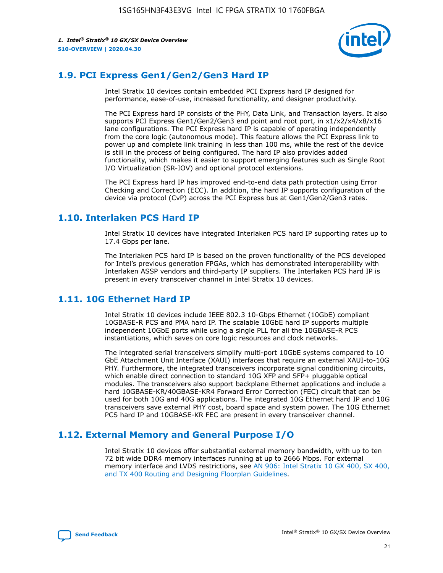

## **1.9. PCI Express Gen1/Gen2/Gen3 Hard IP**

Intel Stratix 10 devices contain embedded PCI Express hard IP designed for performance, ease-of-use, increased functionality, and designer productivity.

The PCI Express hard IP consists of the PHY, Data Link, and Transaction layers. It also supports PCI Express Gen1/Gen2/Gen3 end point and root port, in x1/x2/x4/x8/x16 lane configurations. The PCI Express hard IP is capable of operating independently from the core logic (autonomous mode). This feature allows the PCI Express link to power up and complete link training in less than 100 ms, while the rest of the device is still in the process of being configured. The hard IP also provides added functionality, which makes it easier to support emerging features such as Single Root I/O Virtualization (SR-IOV) and optional protocol extensions.

The PCI Express hard IP has improved end-to-end data path protection using Error Checking and Correction (ECC). In addition, the hard IP supports configuration of the device via protocol (CvP) across the PCI Express bus at Gen1/Gen2/Gen3 rates.

## **1.10. Interlaken PCS Hard IP**

Intel Stratix 10 devices have integrated Interlaken PCS hard IP supporting rates up to 17.4 Gbps per lane.

The Interlaken PCS hard IP is based on the proven functionality of the PCS developed for Intel's previous generation FPGAs, which has demonstrated interoperability with Interlaken ASSP vendors and third-party IP suppliers. The Interlaken PCS hard IP is present in every transceiver channel in Intel Stratix 10 devices.

## **1.11. 10G Ethernet Hard IP**

Intel Stratix 10 devices include IEEE 802.3 10-Gbps Ethernet (10GbE) compliant 10GBASE-R PCS and PMA hard IP. The scalable 10GbE hard IP supports multiple independent 10GbE ports while using a single PLL for all the 10GBASE-R PCS instantiations, which saves on core logic resources and clock networks.

The integrated serial transceivers simplify multi-port 10GbE systems compared to 10 GbE Attachment Unit Interface (XAUI) interfaces that require an external XAUI-to-10G PHY. Furthermore, the integrated transceivers incorporate signal conditioning circuits, which enable direct connection to standard 10G XFP and SFP+ pluggable optical modules. The transceivers also support backplane Ethernet applications and include a hard 10GBASE-KR/40GBASE-KR4 Forward Error Correction (FEC) circuit that can be used for both 10G and 40G applications. The integrated 10G Ethernet hard IP and 10G transceivers save external PHY cost, board space and system power. The 10G Ethernet PCS hard IP and 10GBASE-KR FEC are present in every transceiver channel.

## **1.12. External Memory and General Purpose I/O**

Intel Stratix 10 devices offer substantial external memory bandwidth, with up to ten 72 bit wide DDR4 memory interfaces running at up to 2666 Mbps. For external memory interface and LVDS restrictions, see [AN 906: Intel Stratix 10 GX 400, SX 400,](https://www.intel.com/content/www/us/en/programmable/documentation/sjf1574667190623.html#bft1574667627484) [and TX 400 Routing and Designing Floorplan Guidelines.](https://www.intel.com/content/www/us/en/programmable/documentation/sjf1574667190623.html#bft1574667627484)

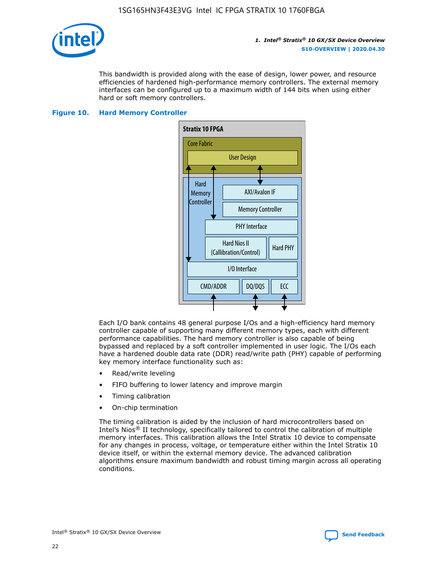

This bandwidth is provided along with the ease of design, lower power, and resource efficiencies of hardened high-performance memory controllers. The external memory interfaces can be configured up to a maximum width of 144 bits when using either hard or soft memory controllers.

### **Figure 10. Hard Memory Controller**



Each I/O bank contains 48 general purpose I/Os and a high-efficiency hard memory controller capable of supporting many different memory types, each with different performance capabilities. The hard memory controller is also capable of being bypassed and replaced by a soft controller implemented in user logic. The I/Os each have a hardened double data rate (DDR) read/write path (PHY) capable of performing key memory interface functionality such as:

- Read/write leveling
- FIFO buffering to lower latency and improve margin
- Timing calibration
- On-chip termination

The timing calibration is aided by the inclusion of hard microcontrollers based on Intel's Nios® II technology, specifically tailored to control the calibration of multiple memory interfaces. This calibration allows the Intel Stratix 10 device to compensate for any changes in process, voltage, or temperature either within the Intel Stratix 10 device itself, or within the external memory device. The advanced calibration algorithms ensure maximum bandwidth and robust timing margin across all operating conditions.

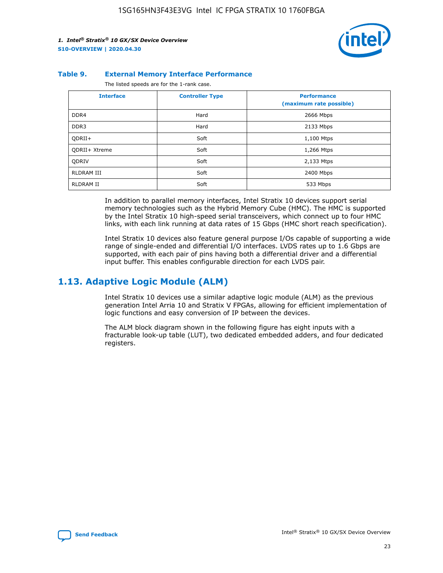

#### **Table 9. External Memory Interface Performance**

The listed speeds are for the 1-rank case.

| <b>Interface</b>     | <b>Controller Type</b> | <b>Performance</b><br>(maximum rate possible) |
|----------------------|------------------------|-----------------------------------------------|
| DDR4                 | Hard                   | 2666 Mbps                                     |
| DDR <sub>3</sub>     | Hard                   | 2133 Mbps                                     |
| QDRII+               | Soft                   | 1,100 Mtps                                    |
| <b>ODRII+ Xtreme</b> | Soft                   | 1,266 Mtps                                    |
| <b>ODRIV</b>         | Soft                   | 2,133 Mtps                                    |
| RLDRAM III           | Soft                   | 2400 Mbps                                     |
| <b>RLDRAM II</b>     | Soft                   | 533 Mbps                                      |

In addition to parallel memory interfaces, Intel Stratix 10 devices support serial memory technologies such as the Hybrid Memory Cube (HMC). The HMC is supported by the Intel Stratix 10 high-speed serial transceivers, which connect up to four HMC links, with each link running at data rates of 15 Gbps (HMC short reach specification).

Intel Stratix 10 devices also feature general purpose I/Os capable of supporting a wide range of single-ended and differential I/O interfaces. LVDS rates up to 1.6 Gbps are supported, with each pair of pins having both a differential driver and a differential input buffer. This enables configurable direction for each LVDS pair.

## **1.13. Adaptive Logic Module (ALM)**

Intel Stratix 10 devices use a similar adaptive logic module (ALM) as the previous generation Intel Arria 10 and Stratix V FPGAs, allowing for efficient implementation of logic functions and easy conversion of IP between the devices.

The ALM block diagram shown in the following figure has eight inputs with a fracturable look-up table (LUT), two dedicated embedded adders, and four dedicated registers.

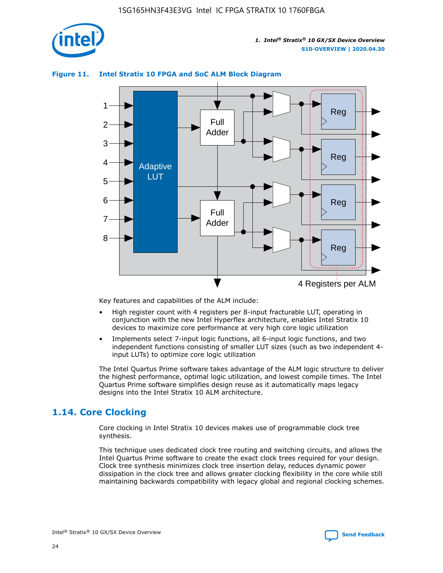

## **Figure 11. Intel Stratix 10 FPGA and SoC ALM Block Diagram**



Key features and capabilities of the ALM include:

- High register count with 4 registers per 8-input fracturable LUT, operating in conjunction with the new Intel Hyperflex architecture, enables Intel Stratix 10 devices to maximize core performance at very high core logic utilization
- Implements select 7-input logic functions, all 6-input logic functions, and two independent functions consisting of smaller LUT sizes (such as two independent 4 input LUTs) to optimize core logic utilization

The Intel Quartus Prime software takes advantage of the ALM logic structure to deliver the highest performance, optimal logic utilization, and lowest compile times. The Intel Quartus Prime software simplifies design reuse as it automatically maps legacy designs into the Intel Stratix 10 ALM architecture.

## **1.14. Core Clocking**

Core clocking in Intel Stratix 10 devices makes use of programmable clock tree synthesis.

This technique uses dedicated clock tree routing and switching circuits, and allows the Intel Quartus Prime software to create the exact clock trees required for your design. Clock tree synthesis minimizes clock tree insertion delay, reduces dynamic power dissipation in the clock tree and allows greater clocking flexibility in the core while still maintaining backwards compatibility with legacy global and regional clocking schemes.

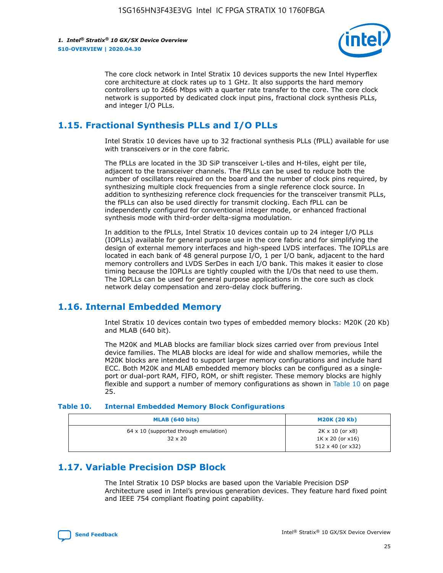

The core clock network in Intel Stratix 10 devices supports the new Intel Hyperflex core architecture at clock rates up to 1 GHz. It also supports the hard memory controllers up to 2666 Mbps with a quarter rate transfer to the core. The core clock network is supported by dedicated clock input pins, fractional clock synthesis PLLs, and integer I/O PLLs.

## **1.15. Fractional Synthesis PLLs and I/O PLLs**

Intel Stratix 10 devices have up to 32 fractional synthesis PLLs (fPLL) available for use with transceivers or in the core fabric.

The fPLLs are located in the 3D SiP transceiver L-tiles and H-tiles, eight per tile, adjacent to the transceiver channels. The fPLLs can be used to reduce both the number of oscillators required on the board and the number of clock pins required, by synthesizing multiple clock frequencies from a single reference clock source. In addition to synthesizing reference clock frequencies for the transceiver transmit PLLs, the fPLLs can also be used directly for transmit clocking. Each fPLL can be independently configured for conventional integer mode, or enhanced fractional synthesis mode with third-order delta-sigma modulation.

In addition to the fPLLs, Intel Stratix 10 devices contain up to 24 integer I/O PLLs (IOPLLs) available for general purpose use in the core fabric and for simplifying the design of external memory interfaces and high-speed LVDS interfaces. The IOPLLs are located in each bank of 48 general purpose I/O, 1 per I/O bank, adjacent to the hard memory controllers and LVDS SerDes in each I/O bank. This makes it easier to close timing because the IOPLLs are tightly coupled with the I/Os that need to use them. The IOPLLs can be used for general purpose applications in the core such as clock network delay compensation and zero-delay clock buffering.

## **1.16. Internal Embedded Memory**

Intel Stratix 10 devices contain two types of embedded memory blocks: M20K (20 Kb) and MLAB (640 bit).

The M20K and MLAB blocks are familiar block sizes carried over from previous Intel device families. The MLAB blocks are ideal for wide and shallow memories, while the M20K blocks are intended to support larger memory configurations and include hard ECC. Both M20K and MLAB embedded memory blocks can be configured as a singleport or dual-port RAM, FIFO, ROM, or shift register. These memory blocks are highly flexible and support a number of memory configurations as shown in Table 10 on page 25.

#### **Table 10. Internal Embedded Memory Block Configurations**

| MLAB (640 bits)                                                | <b>M20K (20 Kb)</b>                                                                    |
|----------------------------------------------------------------|----------------------------------------------------------------------------------------|
| $64 \times 10$ (supported through emulation)<br>$32 \times 20$ | $2K \times 10$ (or $x8$ )<br>$1K \times 20$ (or $x16$ )<br>$512 \times 40$ (or $x32$ ) |

## **1.17. Variable Precision DSP Block**

The Intel Stratix 10 DSP blocks are based upon the Variable Precision DSP Architecture used in Intel's previous generation devices. They feature hard fixed point and IEEE 754 compliant floating point capability.

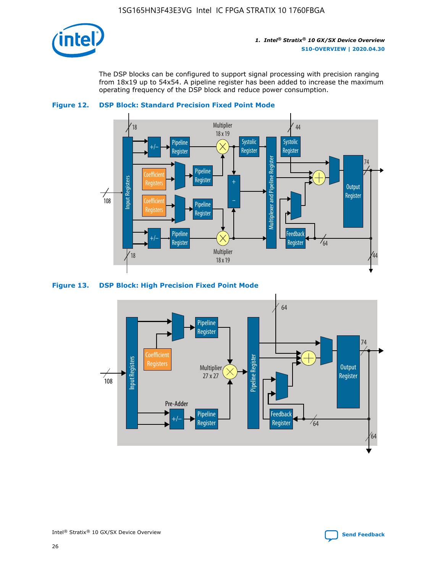

The DSP blocks can be configured to support signal processing with precision ranging from 18x19 up to 54x54. A pipeline register has been added to increase the maximum operating frequency of the DSP block and reduce power consumption.





#### **Figure 13. DSP Block: High Precision Fixed Point Mode**

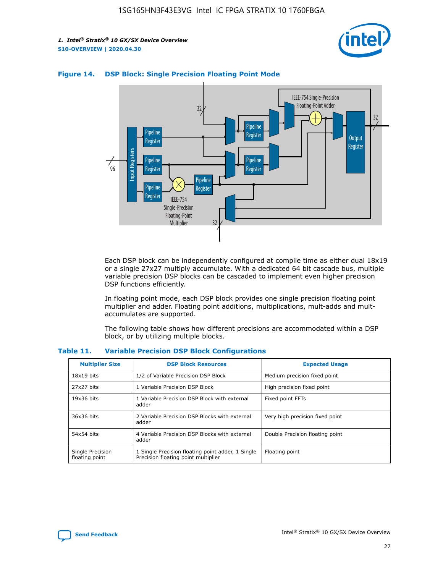



## **Figure 14. DSP Block: Single Precision Floating Point Mode**

Each DSP block can be independently configured at compile time as either dual 18x19 or a single 27x27 multiply accumulate. With a dedicated 64 bit cascade bus, multiple variable precision DSP blocks can be cascaded to implement even higher precision DSP functions efficiently.

In floating point mode, each DSP block provides one single precision floating point multiplier and adder. Floating point additions, multiplications, mult-adds and multaccumulates are supported.

The following table shows how different precisions are accommodated within a DSP block, or by utilizing multiple blocks.

| <b>Multiplier Size</b>             | <b>DSP Block Resources</b>                                                               | <b>Expected Usage</b>           |
|------------------------------------|------------------------------------------------------------------------------------------|---------------------------------|
| $18x19$ bits                       | 1/2 of Variable Precision DSP Block                                                      | Medium precision fixed point    |
| 27x27 bits                         | 1 Variable Precision DSP Block                                                           | High precision fixed point      |
| $19x36$ bits                       | 1 Variable Precision DSP Block with external<br>adder                                    | Fixed point FFTs                |
| 36x36 bits                         | 2 Variable Precision DSP Blocks with external<br>adder                                   | Very high precision fixed point |
| 54x54 bits                         | 4 Variable Precision DSP Blocks with external<br>adder                                   | Double Precision floating point |
| Single Precision<br>floating point | 1 Single Precision floating point adder, 1 Single<br>Precision floating point multiplier | Floating point                  |

#### **Table 11. Variable Precision DSP Block Configurations**

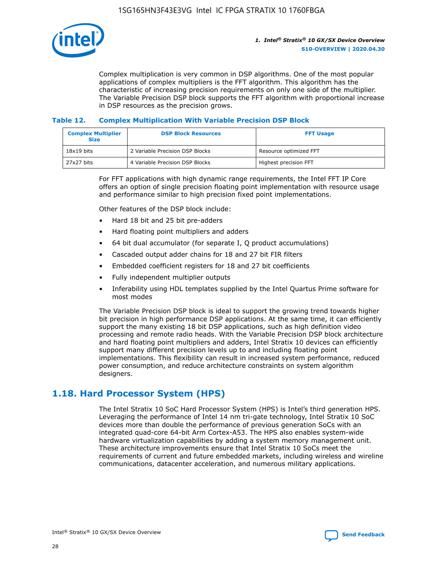

Complex multiplication is very common in DSP algorithms. One of the most popular applications of complex multipliers is the FFT algorithm. This algorithm has the characteristic of increasing precision requirements on only one side of the multiplier. The Variable Precision DSP block supports the FFT algorithm with proportional increase in DSP resources as the precision grows.

### **Table 12. Complex Multiplication With Variable Precision DSP Block**

| <b>Complex Multiplier</b><br><b>Size</b> | <b>DSP Block Resources</b>      | <b>FFT Usage</b>       |
|------------------------------------------|---------------------------------|------------------------|
| $18x19$ bits                             | 2 Variable Precision DSP Blocks | Resource optimized FFT |
| 27x27 bits                               | 4 Variable Precision DSP Blocks | Highest precision FFT  |

For FFT applications with high dynamic range requirements, the Intel FFT IP Core offers an option of single precision floating point implementation with resource usage and performance similar to high precision fixed point implementations.

Other features of the DSP block include:

- Hard 18 bit and 25 bit pre-adders
- Hard floating point multipliers and adders
- 64 bit dual accumulator (for separate I, Q product accumulations)
- Cascaded output adder chains for 18 and 27 bit FIR filters
- Embedded coefficient registers for 18 and 27 bit coefficients
- Fully independent multiplier outputs
- Inferability using HDL templates supplied by the Intel Quartus Prime software for most modes

The Variable Precision DSP block is ideal to support the growing trend towards higher bit precision in high performance DSP applications. At the same time, it can efficiently support the many existing 18 bit DSP applications, such as high definition video processing and remote radio heads. With the Variable Precision DSP block architecture and hard floating point multipliers and adders, Intel Stratix 10 devices can efficiently support many different precision levels up to and including floating point implementations. This flexibility can result in increased system performance, reduced power consumption, and reduce architecture constraints on system algorithm designers.

## **1.18. Hard Processor System (HPS)**

The Intel Stratix 10 SoC Hard Processor System (HPS) is Intel's third generation HPS. Leveraging the performance of Intel 14 nm tri-gate technology, Intel Stratix 10 SoC devices more than double the performance of previous generation SoCs with an integrated quad-core 64-bit Arm Cortex-A53. The HPS also enables system-wide hardware virtualization capabilities by adding a system memory management unit. These architecture improvements ensure that Intel Stratix 10 SoCs meet the requirements of current and future embedded markets, including wireless and wireline communications, datacenter acceleration, and numerous military applications.

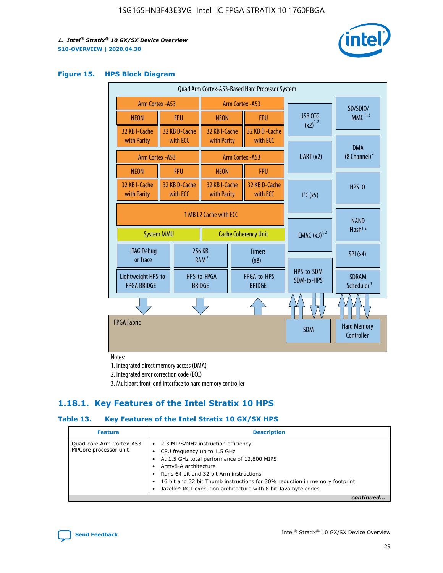

### **Figure 15. HPS Block Diagram**

| Quad Arm Cortex-A53-Based Hard Processor System |                                                                            |                           |                                                              |                                     |                             |                                        |                                        |
|-------------------------------------------------|----------------------------------------------------------------------------|---------------------------|--------------------------------------------------------------|-------------------------------------|-----------------------------|----------------------------------------|----------------------------------------|
| Arm Cortex - A53                                |                                                                            |                           | Arm Cortex - A53                                             |                                     |                             | SD/SDIO/                               |                                        |
| <b>NEON</b>                                     |                                                                            | <b>FPU</b>                | <b>NEON</b>                                                  |                                     | <b>FPU</b>                  | USB OTG                                | $MMC$ <sup>1,2</sup>                   |
| 32 KB I-Cache<br>with Parity                    |                                                                            | 32 KB D-Cache<br>with ECC | 32 KB I-Cache<br>with Parity                                 |                                     | 32 KB D - Cache<br>with ECC | $(x2)^{1,2}$                           |                                        |
|                                                 | Arm Cortex - A53                                                           |                           |                                                              |                                     | <b>Arm Cortex - A53</b>     | UART (x2)                              | <b>DMA</b><br>(8 Channel) <sup>2</sup> |
| <b>NEON</b>                                     |                                                                            | <b>FPU</b>                | <b>NFON</b>                                                  |                                     | <b>FPU</b>                  |                                        |                                        |
| 32 KB I-Cache<br>with Parity                    |                                                                            | 32 KB D-Cache<br>with ECC | 32 KB I-Cache<br>with ECC<br>with Parity                     |                                     | 32 KB D-Cache               | I <sup>2</sup> C(x5)                   | <b>HPS 10</b>                          |
|                                                 | 1 MB L2 Cache with ECC<br><b>System MMU</b><br><b>Cache Coherency Unit</b> |                           | <b>EMAC</b> $(x3)^{1,2}$                                     | <b>NAND</b><br>Flash <sup>1,2</sup> |                             |                                        |                                        |
| JTAG Debug<br>or Trace                          |                                                                            | 256 KB                    | <b>Timers</b><br>RAM <sup>2</sup><br>(x8)                    |                                     |                             | SPI(x4)                                |                                        |
| Lightweight HPS-to-<br><b>FPGA BRIDGE</b>       |                                                                            |                           | FPGA-to-HPS<br>HPS-to-FPGA<br><b>BRIDGE</b><br><b>BRIDGE</b> |                                     | HPS-to-SDM<br>SDM-to-HPS    | <b>SDRAM</b><br>Scheduler <sup>3</sup> |                                        |
|                                                 |                                                                            |                           |                                                              |                                     |                             |                                        |                                        |
| <b>FPGA Fabric</b>                              |                                                                            |                           |                                                              |                                     |                             | <b>SDM</b>                             | <b>Hard Memory</b><br>Controller       |

Notes:

1. Integrated direct memory access (DMA)

2. Integrated error correction code (ECC)

3. Multiport front-end interface to hard memory controller

## **1.18.1. Key Features of the Intel Stratix 10 HPS**

## **Table 13. Key Features of the Intel Stratix 10 GX/SX HPS**

| <b>Feature</b>                                    | <b>Description</b>                                                                                                                                                                                                                                                                                                                                     |
|---------------------------------------------------|--------------------------------------------------------------------------------------------------------------------------------------------------------------------------------------------------------------------------------------------------------------------------------------------------------------------------------------------------------|
| Quad-core Arm Cortex-A53<br>MPCore processor unit | 2.3 MIPS/MHz instruction efficiency<br>$\bullet$<br>CPU frequency up to 1.5 GHz<br>٠<br>At 1.5 GHz total performance of 13,800 MIPS<br>Army8-A architecture<br>Runs 64 bit and 32 bit Arm instructions<br>16 bit and 32 bit Thumb instructions for 30% reduction in memory footprint<br>Jazelle* RCT execution architecture with 8 bit Java byte codes |
|                                                   |                                                                                                                                                                                                                                                                                                                                                        |

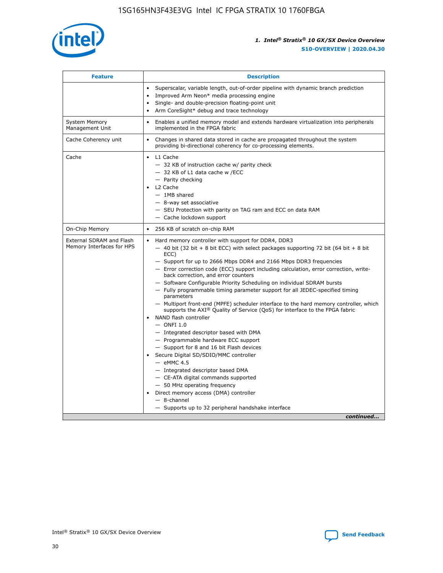

| <b>Feature</b>                                        | <b>Description</b>                                                                                                                                                                                                                                                                                                                                                                                                                                                                                                                                                                                                                                                                                                                                                                                                                                                                                                                                                                                                                                                                                                                                                                                                       |
|-------------------------------------------------------|--------------------------------------------------------------------------------------------------------------------------------------------------------------------------------------------------------------------------------------------------------------------------------------------------------------------------------------------------------------------------------------------------------------------------------------------------------------------------------------------------------------------------------------------------------------------------------------------------------------------------------------------------------------------------------------------------------------------------------------------------------------------------------------------------------------------------------------------------------------------------------------------------------------------------------------------------------------------------------------------------------------------------------------------------------------------------------------------------------------------------------------------------------------------------------------------------------------------------|
|                                                       | Superscalar, variable length, out-of-order pipeline with dynamic branch prediction<br>Improved Arm Neon* media processing engine<br>$\bullet$<br>Single- and double-precision floating-point unit<br>Arm CoreSight* debug and trace technology                                                                                                                                                                                                                                                                                                                                                                                                                                                                                                                                                                                                                                                                                                                                                                                                                                                                                                                                                                           |
| <b>System Memory</b><br>Management Unit               | Enables a unified memory model and extends hardware virtualization into peripherals<br>implemented in the FPGA fabric                                                                                                                                                                                                                                                                                                                                                                                                                                                                                                                                                                                                                                                                                                                                                                                                                                                                                                                                                                                                                                                                                                    |
| Cache Coherency unit                                  | Changes in shared data stored in cache are propagated throughout the system<br>$\bullet$<br>providing bi-directional coherency for co-processing elements.                                                                                                                                                                                                                                                                                                                                                                                                                                                                                                                                                                                                                                                                                                                                                                                                                                                                                                                                                                                                                                                               |
| Cache                                                 | • L1 Cache<br>- 32 KB of instruction cache w/ parity check<br>- 32 KB of L1 data cache w /ECC<br>- Parity checking<br>L2 Cache<br>$-$ 1MB shared<br>- 8-way set associative<br>- SEU Protection with parity on TAG ram and ECC on data RAM<br>- Cache lockdown support                                                                                                                                                                                                                                                                                                                                                                                                                                                                                                                                                                                                                                                                                                                                                                                                                                                                                                                                                   |
| On-Chip Memory                                        | 256 KB of scratch on-chip RAM                                                                                                                                                                                                                                                                                                                                                                                                                                                                                                                                                                                                                                                                                                                                                                                                                                                                                                                                                                                                                                                                                                                                                                                            |
| External SDRAM and Flash<br>Memory Interfaces for HPS | Hard memory controller with support for DDR4, DDR3<br>$\bullet$<br>$-$ 40 bit (32 bit + 8 bit ECC) with select packages supporting 72 bit (64 bit + 8 bit<br>ECC)<br>- Support for up to 2666 Mbps DDR4 and 2166 Mbps DDR3 frequencies<br>- Error correction code (ECC) support including calculation, error correction, write-<br>back correction, and error counters<br>- Software Configurable Priority Scheduling on individual SDRAM bursts<br>- Fully programmable timing parameter support for all JEDEC-specified timing<br>parameters<br>- Multiport front-end (MPFE) scheduler interface to the hard memory controller, which<br>supports the $AXI^{\circledR}$ Quality of Service (QoS) for interface to the FPGA fabric<br>NAND flash controller<br>$-$ ONFI 1.0<br>- Integrated descriptor based with DMA<br>- Programmable hardware ECC support<br>- Support for 8 and 16 bit Flash devices<br>Secure Digital SD/SDIO/MMC controller<br>$-$ eMMC 4.5<br>- Integrated descriptor based DMA<br>- CE-ATA digital commands supported<br>- 50 MHz operating frequency<br>Direct memory access (DMA) controller<br>$\bullet$<br>$-$ 8-channel<br>- Supports up to 32 peripheral handshake interface<br>continued |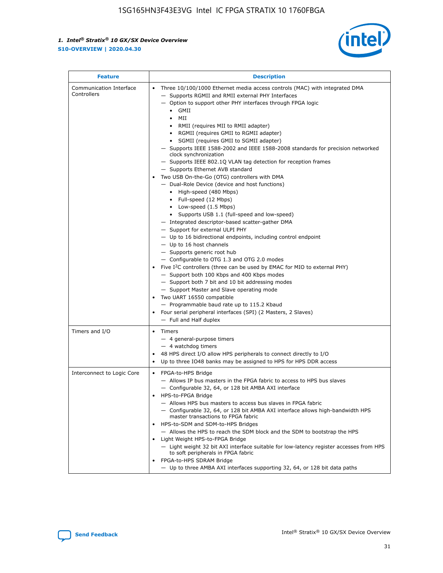

| <b>Feature</b>                         | <b>Description</b>                                                                                                                                                                                                                                                                                                                                                                                                                                                                                                                                                                                                                                                                                                                                                                                                                                                                                                                                                                                                                                                                                                                                                                                                                                                                                                                                                                                                                                                                                                   |
|----------------------------------------|----------------------------------------------------------------------------------------------------------------------------------------------------------------------------------------------------------------------------------------------------------------------------------------------------------------------------------------------------------------------------------------------------------------------------------------------------------------------------------------------------------------------------------------------------------------------------------------------------------------------------------------------------------------------------------------------------------------------------------------------------------------------------------------------------------------------------------------------------------------------------------------------------------------------------------------------------------------------------------------------------------------------------------------------------------------------------------------------------------------------------------------------------------------------------------------------------------------------------------------------------------------------------------------------------------------------------------------------------------------------------------------------------------------------------------------------------------------------------------------------------------------------|
| Communication Interface<br>Controllers | Three 10/100/1000 Ethernet media access controls (MAC) with integrated DMA<br>- Supports RGMII and RMII external PHY Interfaces<br>- Option to support other PHY interfaces through FPGA logic<br>$\bullet$ GMII<br>MII<br>$\bullet$<br>RMII (requires MII to RMII adapter)<br>$\bullet$<br>• RGMII (requires GMII to RGMII adapter)<br>SGMII (requires GMII to SGMII adapter)<br>- Supports IEEE 1588-2002 and IEEE 1588-2008 standards for precision networked<br>clock synchronization<br>- Supports IEEE 802.1Q VLAN tag detection for reception frames<br>- Supports Ethernet AVB standard<br>Two USB On-the-Go (OTG) controllers with DMA<br>- Dual-Role Device (device and host functions)<br>• High-speed (480 Mbps)<br>• Full-speed (12 Mbps)<br>• Low-speed (1.5 Mbps)<br>• Supports USB 1.1 (full-speed and low-speed)<br>- Integrated descriptor-based scatter-gather DMA<br>- Support for external ULPI PHY<br>- Up to 16 bidirectional endpoints, including control endpoint<br>$-$ Up to 16 host channels<br>- Supports generic root hub<br>- Configurable to OTG 1.3 and OTG 2.0 modes<br>Five I <sup>2</sup> C controllers (three can be used by EMAC for MIO to external PHY)<br>- Support both 100 Kbps and 400 Kbps modes<br>- Support both 7 bit and 10 bit addressing modes<br>- Support Master and Slave operating mode<br>Two UART 16550 compatible<br>- Programmable baud rate up to 115.2 Kbaud<br>Four serial peripheral interfaces (SPI) (2 Masters, 2 Slaves)<br>- Full and Half duplex |
| Timers and I/O                         | Timers<br>$\bullet$<br>- 4 general-purpose timers<br>$-4$ watchdog timers<br>48 HPS direct I/O allow HPS peripherals to connect directly to I/O<br>Up to three IO48 banks may be assigned to HPS for HPS DDR access                                                                                                                                                                                                                                                                                                                                                                                                                                                                                                                                                                                                                                                                                                                                                                                                                                                                                                                                                                                                                                                                                                                                                                                                                                                                                                  |
| Interconnect to Logic Core             | • FPGA-to-HPS Bridge<br>- Allows IP bus masters in the FPGA fabric to access to HPS bus slaves<br>- Configurable 32, 64, or 128 bit AMBA AXI interface<br>HPS-to-FPGA Bridge<br>- Allows HPS bus masters to access bus slaves in FPGA fabric<br>- Configurable 32, 64, or 128 bit AMBA AXI interface allows high-bandwidth HPS<br>master transactions to FPGA fabric<br>HPS-to-SDM and SDM-to-HPS Bridges<br>- Allows the HPS to reach the SDM block and the SDM to bootstrap the HPS<br>Light Weight HPS-to-FPGA Bridge<br>- Light weight 32 bit AXI interface suitable for low-latency register accesses from HPS<br>to soft peripherals in FPGA fabric<br>FPGA-to-HPS SDRAM Bridge<br>- Up to three AMBA AXI interfaces supporting 32, 64, or 128 bit data paths                                                                                                                                                                                                                                                                                                                                                                                                                                                                                                                                                                                                                                                                                                                                                  |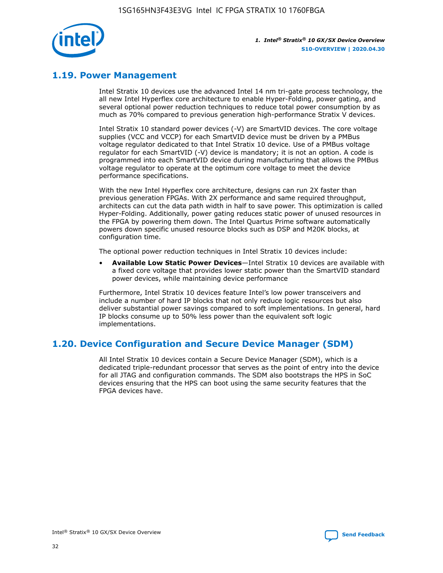

## **1.19. Power Management**

Intel Stratix 10 devices use the advanced Intel 14 nm tri-gate process technology, the all new Intel Hyperflex core architecture to enable Hyper-Folding, power gating, and several optional power reduction techniques to reduce total power consumption by as much as 70% compared to previous generation high-performance Stratix V devices.

Intel Stratix 10 standard power devices (-V) are SmartVID devices. The core voltage supplies (VCC and VCCP) for each SmartVID device must be driven by a PMBus voltage regulator dedicated to that Intel Stratix 10 device. Use of a PMBus voltage regulator for each SmartVID (-V) device is mandatory; it is not an option. A code is programmed into each SmartVID device during manufacturing that allows the PMBus voltage regulator to operate at the optimum core voltage to meet the device performance specifications.

With the new Intel Hyperflex core architecture, designs can run 2X faster than previous generation FPGAs. With 2X performance and same required throughput, architects can cut the data path width in half to save power. This optimization is called Hyper-Folding. Additionally, power gating reduces static power of unused resources in the FPGA by powering them down. The Intel Quartus Prime software automatically powers down specific unused resource blocks such as DSP and M20K blocks, at configuration time.

The optional power reduction techniques in Intel Stratix 10 devices include:

• **Available Low Static Power Devices**—Intel Stratix 10 devices are available with a fixed core voltage that provides lower static power than the SmartVID standard power devices, while maintaining device performance

Furthermore, Intel Stratix 10 devices feature Intel's low power transceivers and include a number of hard IP blocks that not only reduce logic resources but also deliver substantial power savings compared to soft implementations. In general, hard IP blocks consume up to 50% less power than the equivalent soft logic implementations.

## **1.20. Device Configuration and Secure Device Manager (SDM)**

All Intel Stratix 10 devices contain a Secure Device Manager (SDM), which is a dedicated triple-redundant processor that serves as the point of entry into the device for all JTAG and configuration commands. The SDM also bootstraps the HPS in SoC devices ensuring that the HPS can boot using the same security features that the FPGA devices have.

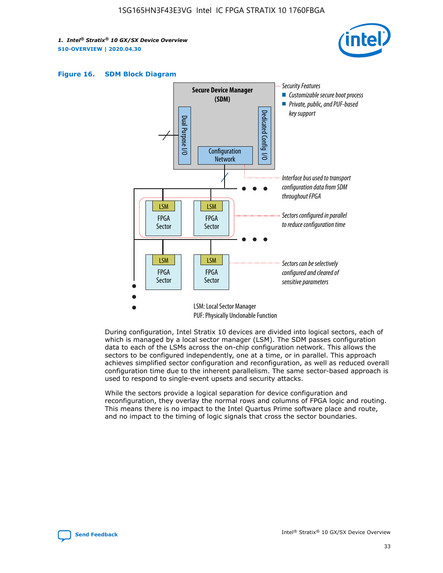





During configuration, Intel Stratix 10 devices are divided into logical sectors, each of which is managed by a local sector manager (LSM). The SDM passes configuration data to each of the LSMs across the on-chip configuration network. This allows the sectors to be configured independently, one at a time, or in parallel. This approach achieves simplified sector configuration and reconfiguration, as well as reduced overall configuration time due to the inherent parallelism. The same sector-based approach is used to respond to single-event upsets and security attacks.

While the sectors provide a logical separation for device configuration and reconfiguration, they overlay the normal rows and columns of FPGA logic and routing. This means there is no impact to the Intel Quartus Prime software place and route, and no impact to the timing of logic signals that cross the sector boundaries.

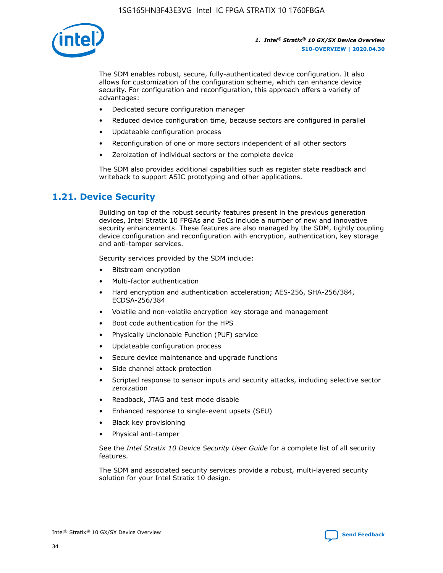

The SDM enables robust, secure, fully-authenticated device configuration. It also allows for customization of the configuration scheme, which can enhance device security. For configuration and reconfiguration, this approach offers a variety of advantages:

- Dedicated secure configuration manager
- Reduced device configuration time, because sectors are configured in parallel
- Updateable configuration process
- Reconfiguration of one or more sectors independent of all other sectors
- Zeroization of individual sectors or the complete device

The SDM also provides additional capabilities such as register state readback and writeback to support ASIC prototyping and other applications.

## **1.21. Device Security**

Building on top of the robust security features present in the previous generation devices, Intel Stratix 10 FPGAs and SoCs include a number of new and innovative security enhancements. These features are also managed by the SDM, tightly coupling device configuration and reconfiguration with encryption, authentication, key storage and anti-tamper services.

Security services provided by the SDM include:

- Bitstream encryption
- Multi-factor authentication
- Hard encryption and authentication acceleration; AES-256, SHA-256/384, ECDSA-256/384
- Volatile and non-volatile encryption key storage and management
- Boot code authentication for the HPS
- Physically Unclonable Function (PUF) service
- Updateable configuration process
- Secure device maintenance and upgrade functions
- Side channel attack protection
- Scripted response to sensor inputs and security attacks, including selective sector zeroization
- Readback, JTAG and test mode disable
- Enhanced response to single-event upsets (SEU)
- Black key provisioning
- Physical anti-tamper

See the *Intel Stratix 10 Device Security User Guide* for a complete list of all security features.

The SDM and associated security services provide a robust, multi-layered security solution for your Intel Stratix 10 design.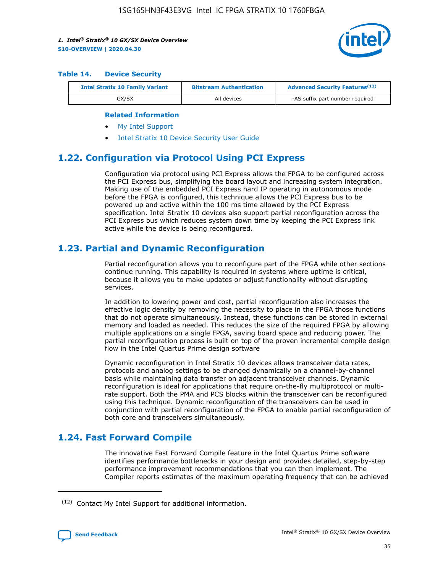

#### **Table 14. Device Security**

| <b>Intel Stratix 10 Family Variant</b> | <b>Bitstream Authentication</b> | <b>Advanced Security Features</b> <sup>(12)</sup> |
|----------------------------------------|---------------------------------|---------------------------------------------------|
| GX/SX                                  | All devices                     | -AS suffix part number required                   |

#### **Related Information**

- [My Intel Support](https://www.intel.com/content/www/us/en/programmable/my-intel/mal-home.html)
- [Intel Stratix 10 Device Security User Guide](https://www.intel.com/content/www/us/en/programmable/documentation/ndq1483601370898.html#wcd1483611014402)

## **1.22. Configuration via Protocol Using PCI Express**

Configuration via protocol using PCI Express allows the FPGA to be configured across the PCI Express bus, simplifying the board layout and increasing system integration. Making use of the embedded PCI Express hard IP operating in autonomous mode before the FPGA is configured, this technique allows the PCI Express bus to be powered up and active within the 100 ms time allowed by the PCI Express specification. Intel Stratix 10 devices also support partial reconfiguration across the PCI Express bus which reduces system down time by keeping the PCI Express link active while the device is being reconfigured.

## **1.23. Partial and Dynamic Reconfiguration**

Partial reconfiguration allows you to reconfigure part of the FPGA while other sections continue running. This capability is required in systems where uptime is critical, because it allows you to make updates or adjust functionality without disrupting services.

In addition to lowering power and cost, partial reconfiguration also increases the effective logic density by removing the necessity to place in the FPGA those functions that do not operate simultaneously. Instead, these functions can be stored in external memory and loaded as needed. This reduces the size of the required FPGA by allowing multiple applications on a single FPGA, saving board space and reducing power. The partial reconfiguration process is built on top of the proven incremental compile design flow in the Intel Quartus Prime design software

Dynamic reconfiguration in Intel Stratix 10 devices allows transceiver data rates, protocols and analog settings to be changed dynamically on a channel-by-channel basis while maintaining data transfer on adjacent transceiver channels. Dynamic reconfiguration is ideal for applications that require on-the-fly multiprotocol or multirate support. Both the PMA and PCS blocks within the transceiver can be reconfigured using this technique. Dynamic reconfiguration of the transceivers can be used in conjunction with partial reconfiguration of the FPGA to enable partial reconfiguration of both core and transceivers simultaneously.

## **1.24. Fast Forward Compile**

The innovative Fast Forward Compile feature in the Intel Quartus Prime software identifies performance bottlenecks in your design and provides detailed, step-by-step performance improvement recommendations that you can then implement. The Compiler reports estimates of the maximum operating frequency that can be achieved

<sup>(12)</sup> Contact My Intel Support for additional information.

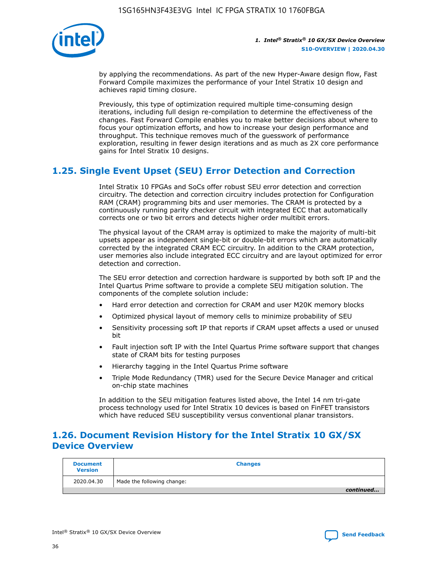

by applying the recommendations. As part of the new Hyper-Aware design flow, Fast Forward Compile maximizes the performance of your Intel Stratix 10 design and achieves rapid timing closure.

Previously, this type of optimization required multiple time-consuming design iterations, including full design re-compilation to determine the effectiveness of the changes. Fast Forward Compile enables you to make better decisions about where to focus your optimization efforts, and how to increase your design performance and throughput. This technique removes much of the guesswork of performance exploration, resulting in fewer design iterations and as much as 2X core performance gains for Intel Stratix 10 designs.

## **1.25. Single Event Upset (SEU) Error Detection and Correction**

Intel Stratix 10 FPGAs and SoCs offer robust SEU error detection and correction circuitry. The detection and correction circuitry includes protection for Configuration RAM (CRAM) programming bits and user memories. The CRAM is protected by a continuously running parity checker circuit with integrated ECC that automatically corrects one or two bit errors and detects higher order multibit errors.

The physical layout of the CRAM array is optimized to make the majority of multi-bit upsets appear as independent single-bit or double-bit errors which are automatically corrected by the integrated CRAM ECC circuitry. In addition to the CRAM protection, user memories also include integrated ECC circuitry and are layout optimized for error detection and correction.

The SEU error detection and correction hardware is supported by both soft IP and the Intel Quartus Prime software to provide a complete SEU mitigation solution. The components of the complete solution include:

- Hard error detection and correction for CRAM and user M20K memory blocks
- Optimized physical layout of memory cells to minimize probability of SEU
- Sensitivity processing soft IP that reports if CRAM upset affects a used or unused bit
- Fault injection soft IP with the Intel Quartus Prime software support that changes state of CRAM bits for testing purposes
- Hierarchy tagging in the Intel Quartus Prime software
- Triple Mode Redundancy (TMR) used for the Secure Device Manager and critical on-chip state machines

In addition to the SEU mitigation features listed above, the Intel 14 nm tri-gate process technology used for Intel Stratix 10 devices is based on FinFET transistors which have reduced SEU susceptibility versus conventional planar transistors.

## **1.26. Document Revision History for the Intel Stratix 10 GX/SX Device Overview**

| <b>Document</b><br><b>Version</b> | <b>Changes</b>             |
|-----------------------------------|----------------------------|
| 2020.04.30                        | Made the following change: |
|                                   | continued                  |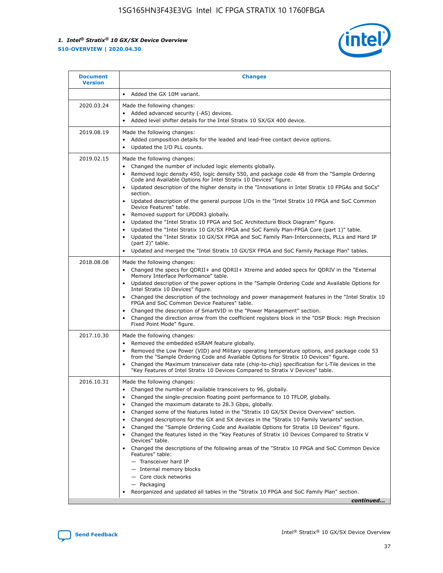

| <b>Document</b><br><b>Version</b> | <b>Changes</b>                                                                                                                                                                                                                                                                                                                                                                                                                                                                                                                                                                                                                                                                                                                                                                                                                                                                                                                                                                                      |
|-----------------------------------|-----------------------------------------------------------------------------------------------------------------------------------------------------------------------------------------------------------------------------------------------------------------------------------------------------------------------------------------------------------------------------------------------------------------------------------------------------------------------------------------------------------------------------------------------------------------------------------------------------------------------------------------------------------------------------------------------------------------------------------------------------------------------------------------------------------------------------------------------------------------------------------------------------------------------------------------------------------------------------------------------------|
|                                   | Added the GX 10M variant.                                                                                                                                                                                                                                                                                                                                                                                                                                                                                                                                                                                                                                                                                                                                                                                                                                                                                                                                                                           |
| 2020.03.24                        | Made the following changes:<br>Added advanced security (-AS) devices.<br>Added level shifter details for the Intel Stratix 10 SX/GX 400 device.                                                                                                                                                                                                                                                                                                                                                                                                                                                                                                                                                                                                                                                                                                                                                                                                                                                     |
| 2019.08.19                        | Made the following changes:<br>Added composition details for the leaded and lead-free contact device options.<br>$\bullet$<br>Updated the I/O PLL counts.                                                                                                                                                                                                                                                                                                                                                                                                                                                                                                                                                                                                                                                                                                                                                                                                                                           |
| 2019.02.15                        | Made the following changes:<br>Changed the number of included logic elements globally.<br>$\bullet$<br>Removed logic density 450, logic density 550, and package code 48 from the "Sample Ordering<br>$\bullet$<br>Code and Available Options for Intel Stratix 10 Devices" figure.<br>Updated description of the higher density in the "Innovations in Intel Stratix 10 FPGAs and SoCs"<br>section.<br>Updated description of the general purpose I/Os in the "Intel Stratix 10 FPGA and SoC Common<br>$\bullet$<br>Device Features" table.<br>Removed support for LPDDR3 globally.<br>Updated the "Intel Stratix 10 FPGA and SoC Architecture Block Diagram" figure.<br>$\bullet$<br>Updated the "Intel Stratix 10 GX/SX FPGA and SoC Family Plan-FPGA Core (part 1)" table.<br>٠<br>Updated the "Intel Stratix 10 GX/SX FPGA and SoC Family Plan-Interconnects, PLLs and Hard IP<br>(part 2)" table.<br>Updated and merged the "Intel Stratix 10 GX/SX FPGA and SoC Family Package Plan" tables. |
| 2018.08.08                        | Made the following changes:<br>Changed the specs for QDRII+ and QDRII+ Xtreme and added specs for QDRIV in the "External<br>$\bullet$<br>Memory Interface Performance" table.<br>Updated description of the power options in the "Sample Ordering Code and Available Options for<br>Intel Stratix 10 Devices" figure.<br>Changed the description of the technology and power management features in the "Intel Stratix 10<br>FPGA and SoC Common Device Features" table.<br>Changed the description of SmartVID in the "Power Management" section.<br>Changed the direction arrow from the coefficient registers block in the "DSP Block: High Precision<br>٠<br>Fixed Point Mode" figure.                                                                                                                                                                                                                                                                                                          |
| 2017.10.30                        | Made the following changes:<br>Removed the embedded eSRAM feature globally.<br>$\bullet$<br>Removed the Low Power (VID) and Military operating temperature options, and package code 53<br>٠<br>from the "Sample Ordering Code and Available Options for Stratix 10 Devices" figure.<br>Changed the Maximum transceiver data rate (chip-to-chip) specification for L-Tile devices in the<br>"Key Features of Intel Stratix 10 Devices Compared to Stratix V Devices" table.                                                                                                                                                                                                                                                                                                                                                                                                                                                                                                                         |
| 2016.10.31                        | Made the following changes:<br>• Changed the number of available transceivers to 96, globally.<br>Changed the single-precision floating point performance to 10 TFLOP, globally.<br>Changed the maximum datarate to 28.3 Gbps, globally.<br>٠<br>Changed some of the features listed in the "Stratix 10 GX/SX Device Overview" section.<br>$\bullet$<br>Changed descriptions for the GX and SX devices in the "Stratix 10 Family Variants" section.<br>$\bullet$<br>Changed the "Sample Ordering Code and Available Options for Stratix 10 Devices" figure.<br>Changed the features listed in the "Key Features of Stratix 10 Devices Compared to Stratix V<br>Devices" table.<br>Changed the descriptions of the following areas of the "Stratix 10 FPGA and SoC Common Device<br>Features" table:<br>- Transceiver hard IP<br>- Internal memory blocks<br>- Core clock networks<br>- Packaging<br>Reorganized and updated all tables in the "Stratix 10 FPGA and SoC Family Plan" section.        |
|                                   | continued                                                                                                                                                                                                                                                                                                                                                                                                                                                                                                                                                                                                                                                                                                                                                                                                                                                                                                                                                                                           |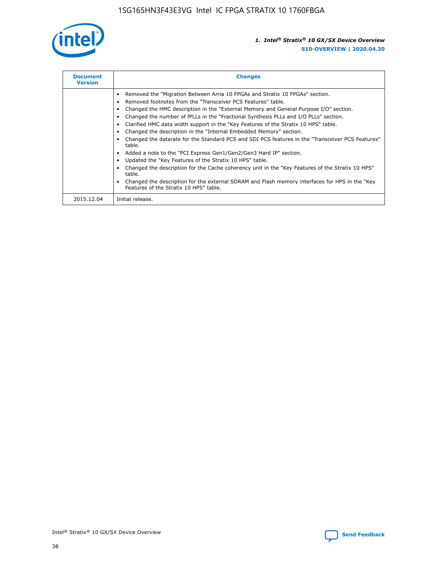

| <b>Document</b><br><b>Version</b> | <b>Changes</b>                                                                                                                                                                                                                                                                                                                                                                                                                                                                                                                                                                                                                                                                                                                                                                                                                                                                                                                                                                                     |
|-----------------------------------|----------------------------------------------------------------------------------------------------------------------------------------------------------------------------------------------------------------------------------------------------------------------------------------------------------------------------------------------------------------------------------------------------------------------------------------------------------------------------------------------------------------------------------------------------------------------------------------------------------------------------------------------------------------------------------------------------------------------------------------------------------------------------------------------------------------------------------------------------------------------------------------------------------------------------------------------------------------------------------------------------|
|                                   | Removed the "Migration Between Arria 10 FPGAs and Stratix 10 FPGAs" section.<br>Removed footnotes from the "Transceiver PCS Features" table.<br>Changed the HMC description in the "External Memory and General Purpose I/O" section.<br>Changed the number of fPLLs in the "Fractional Synthesis PLLs and I/O PLLs" section.<br>Clarified HMC data width support in the "Key Features of the Stratix 10 HPS" table.<br>Changed the description in the "Internal Embedded Memory" section.<br>Changed the datarate for the Standard PCS and SDI PCS features in the "Transceiver PCS Features"<br>table.<br>Added a note to the "PCI Express Gen1/Gen2/Gen3 Hard IP" section.<br>Updated the "Key Features of the Stratix 10 HPS" table.<br>Changed the description for the Cache coherency unit in the "Key Features of the Stratix 10 HPS"<br>table.<br>Changed the description for the external SDRAM and Flash memory interfaces for HPS in the "Key<br>Features of the Stratix 10 HPS" table. |
| 2015.12.04                        | Initial release.                                                                                                                                                                                                                                                                                                                                                                                                                                                                                                                                                                                                                                                                                                                                                                                                                                                                                                                                                                                   |